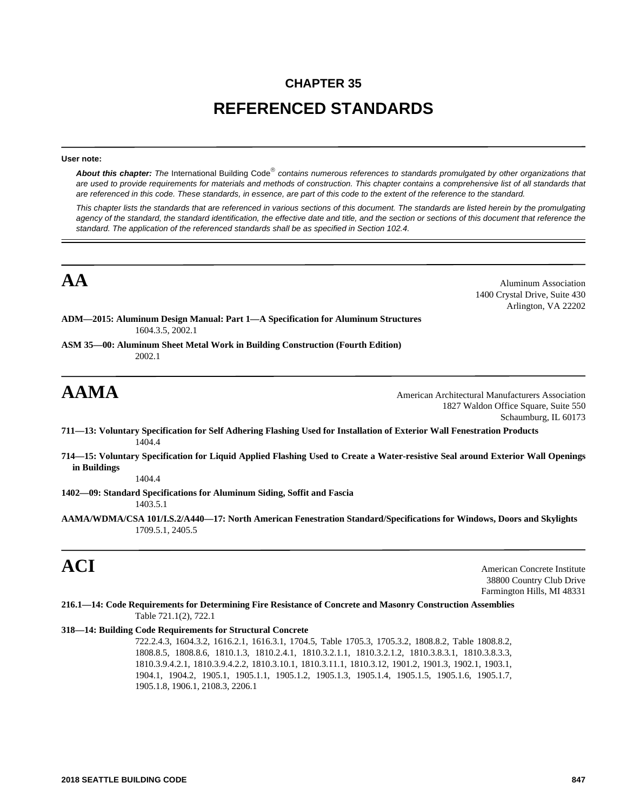# **CHAPTER 35 REFERENCED STANDARDS**

### **User note:**

About this chapter: The International Building Code<sup>®</sup> contains numerous references to standards promulgated by other organizations that *are used to provide requirements for materials and methods of construction. This chapter contains a comprehensive list of all standards that are referenced in this code. These standards, in essence, are part of this code to the extent of the reference to the standard.*

*This chapter lists the standards that are referenced in various sections of this document. The standards are listed herein by the promulgating agency of the standard, the standard identification, the effective date and title, and the section or sections of this document that reference the standard. The application of the referenced standards shall be as specified in Section 102.4.*

**AA** Aluminum Association 1400 Crystal Drive, Suite 430 Arlington, VA 22202

**ADM—2015: Aluminum Design Manual: Part 1—A Specification for Aluminum Structures** 1604.3.5, 2002.1

**ASM 35—00: Aluminum Sheet Metal Work in Building Construction (Fourth Edition)** 2002.1

**AAMA** American Architectural Manufacturers Association 1827 Waldon Office Square, Suite 550 Schaumburg, IL 60173

- **711—13: Voluntary Specification for Self Adhering Flashing Used for Installation of Exterior Wall Fenestration Products** 1404.4
- **714—15: Voluntary Specification for Liquid Applied Flashing Used to Create a Water-resistive Seal around Exterior Wall Openings in Buildings**

1404.4

**1402—09: Standard Specifications for Aluminum Siding, Soffit and Fascia**

1403.5.1

**AAMA/WDMA/CSA 101/I.S.2/A440—17: North American Fenestration Standard/Specifications for Windows, Doors and Skylights** 1709.5.1, 2405.5

**ACI** American Concrete Institute 38800 Country Club Drive Farmington Hills, MI 48331

**216.1—14: Code Requirements for Determining Fire Resistance of Concrete and Masonry Construction Assemblies** Table 721.1(2), 722.1

### **318—14: Building Code Requirements for Structural Concrete**

722.2.4.3, 1604.3.2, 1616.2.1, 1616.3.1, 1704.5, Table 1705.3, 1705.3.2, 1808.8.2, Table 1808.8.2, 1808.8.5, 1808.8.6, 1810.1.3, 1810.2.4.1, 1810.3.2.1.1, 1810.3.2.1.2, 1810.3.8.3.1, 1810.3.8.3.3, 1810.3.9.4.2.1, 1810.3.9.4.2.2, 1810.3.10.1, 1810.3.11.1, 1810.3.12, 1901.2, 1901.3, 1902.1, 1903.1, 1904.1, 1904.2, 1905.1, 1905.1.1, 1905.1.2, 1905.1.3, 1905.1.4, 1905.1.5, 1905.1.6, 1905.1.7, 1905.1.8, 1906.1, 2108.3, 2206.1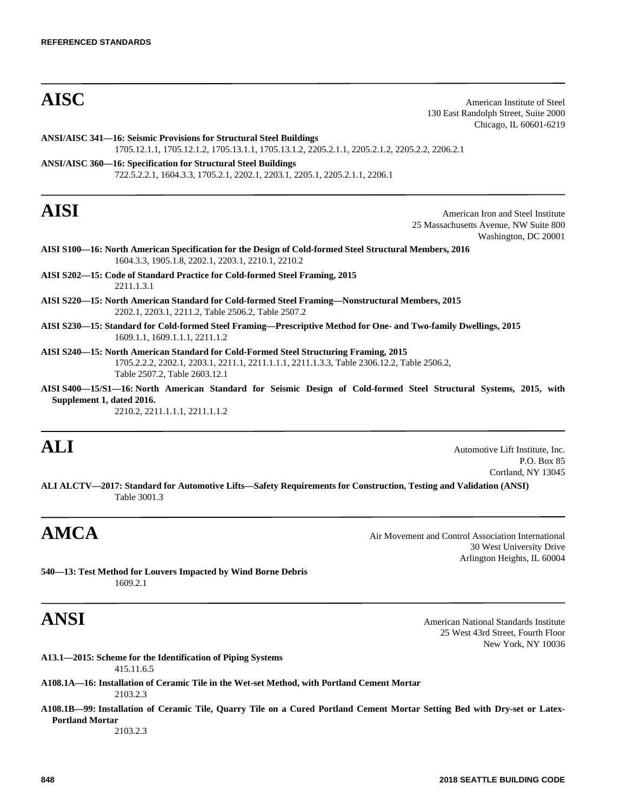**AISC** American Institute of Steel 130 East Randolph Street, Suite 2000 Chicago, IL 60601-6219

**ANSI/AISC 341—16: Seismic Provisions for Structural Steel Buildings** 1705.12.1.1, 1705.12.1.2, 1705.13.1.1, 1705.13.1.2, 2205.2.1.1, 2205.2.1.2, 2205.2.2, 2206.2.1 **ANSI/AISC 360—16: Specification for Structural Steel Buildings**

722.5.2.2.1, 1604.3.3, 1705.2.1, 2202.1, 2203.1, 2205.1, 2205.2.1.1, 2206.1

**AISI** American Iron and Steel Institute 25 Massachusetts Avenue, NW Suite 800 Washington, DC 20001

- **AISI S100—16: North American Specification for the Design of Cold-formed Steel Structural Members, 2016** 1604.3.3, 1905.1.8, 2202.1, 2203.1, 2210.1, 2210.2
- **AISI S202—15: Code of Standard Practice for Cold-formed Steel Framing, 2015** 2211.1.3.1
- **AISI S220—15: North American Standard for Cold-formed Steel Framing—Nonstructural Members, 2015** 2202.1, 2203.1, 2211.2, Table 2506.2, Table 2507.2
- **AISI S230—15: Standard for Cold-formed Steel Framing—Prescriptive Method for One- and Two-family Dwellings, 2015** 1609.1.1, 1609.1.1.1, 2211.1.2
- **AISI S240—15: North American Standard for Cold-Formed Steel Structuring Framing, 2015** 1705.2.2.2, 2202.1, 2203.1, 2211.1, 2211.1.1.1, 2211.1.3.3, Table 2306.12.2, Table 2506.2, Table 2507.2, Table 2603.12.1
- **AISI S400—15/S1—16: North American Standard for Seismic Design of Cold-formed Steel Structural Systems, 2015, with Supplement 1, dated 2016.**

2210.2, 2211.1.1.1, 2211.1.1.2

**ALI** Automotive Lift Institute, Inc. P.O. Box 85 Cortland, NY 13045

**ALI ALCTV—2017: Standard for Automotive Lifts—Safety Requirements for Construction, Testing and Validation (ANSI)** Table 3001.3

AMCA Air Movement and Control Association International 30 West University Drive Arlington Heights, IL 60004

**540—13: Test Method for Louvers Impacted by Wind Borne Debris** 1609.2.1

**ANSI** American National Standards Institute 25 West 43rd Street, Fourth Floor New York, NY 10036

- **A13.1—2015: Scheme for the Identification of Piping Systems** 415.11.6.5
- **A108.1A—16: Installation of Ceramic Tile in the Wet-set Method, with Portland Cement Mortar** 2103.2.3
- **A108.1B—99: Installation of Ceramic Tile, Quarry Tile on a Cured Portland Cement Mortar Setting Bed with Dry-set or Latex-Portland Mortar** 2103.2.3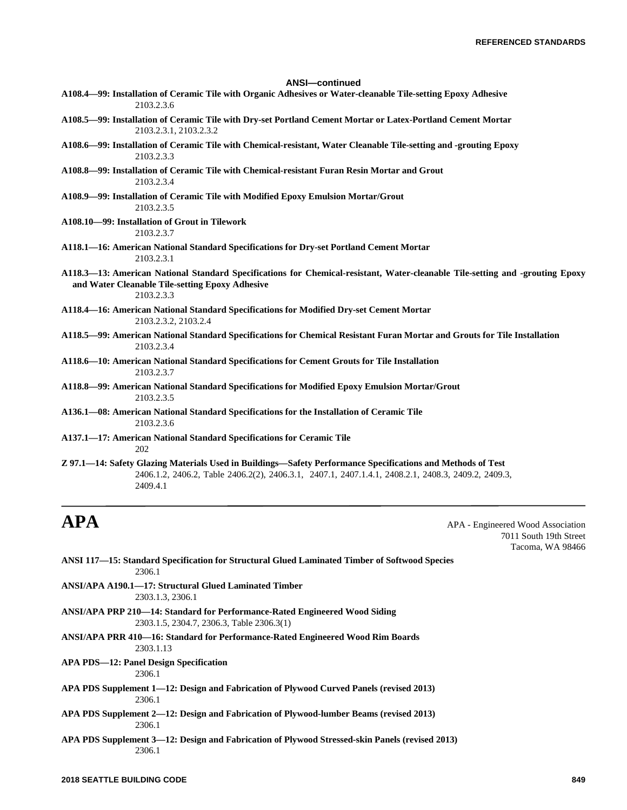### **ANSI—continued**

- **A108.4—99: Installation of Ceramic Tile with Organic Adhesives or Water-cleanable Tile-setting Epoxy Adhesive** 2103.2.3.6
- **A108.5—99: Installation of Ceramic Tile with Dry-set Portland Cement Mortar or Latex-Portland Cement Mortar** 2103.2.3.1, 2103.2.3.2
- **A108.6—99: Installation of Ceramic Tile with Chemical-resistant, Water Cleanable Tile-setting and -grouting Epoxy** 2103.2.3.3
- **A108.8—99: Installation of Ceramic Tile with Chemical-resistant Furan Resin Mortar and Grout** 2103.2.3.4
- **A108.9—99: Installation of Ceramic Tile with Modified Epoxy Emulsion Mortar/Grout** 2103.2.3.5
- **A108.10—99: Installation of Grout in Tilework** 2103.2.3.7
- **A118.1—16: American National Standard Specifications for Dry-set Portland Cement Mortar** 2103.2.3.1
- **A118.3—13: American National Standard Specifications for Chemical-resistant, Water-cleanable Tile-setting and -grouting Epoxy and Water Cleanable Tile-setting Epoxy Adhesive** 2103.2.3.3
- **A118.4—16: American National Standard Specifications for Modified Dry-set Cement Mortar**

2103.2.3.2, 2103.2.4

- **A118.5—99: American National Standard Specifications for Chemical Resistant Furan Mortar and Grouts for Tile Installation** 2103.2.3.4
- **A118.6—10: American National Standard Specifications for Cement Grouts for Tile Installation** 2103.2.3.7
- **A118.8—99: American National Standard Specifications for Modified Epoxy Emulsion Mortar/Grout** 2103.2.3.5
- **A136.1—08: American National Standard Specifications for the Installation of Ceramic Tile** 2103.2.3.6
- **A137.1—17: American National Standard Specifications for Ceramic Tile** 202
- **Z 97.1—14: Safety Glazing Materials Used in Buildings—Safety Performance Specifications and Methods of Test** 2406.1.2, 2406.2, Table 2406.2(2), 2406.3.1, 2407.1, 2407.1.4.1, 2408.2.1, 2408.3, 2409.2, 2409.3, 2409.4.1

**APA** APA - Engineered Wood Association 7011 South 19th Street Tacoma, WA 98466

- **ANSI 117—15: Standard Specification for Structural Glued Laminated Timber of Softwood Species** 2306.1
- **ANSI/APA A190.1—17: Structural Glued Laminated Timber** 2303.1.3, 2306.1
- **ANSI/APA PRP 210—14: Standard for Performance-Rated Engineered Wood Siding** 2303.1.5, 2304.7, 2306.3, Table 2306.3(1)
- **ANSI/APA PRR 410—16: Standard for Performance-Rated Engineered Wood Rim Boards** 2303.1.13
- **APA PDS—12: Panel Design Specification**

### 2306.1

- **APA PDS Supplement 1—12: Design and Fabrication of Plywood Curved Panels (revised 2013)** 2306.1
- **APA PDS Supplement 2—12: Design and Fabrication of Plywood-lumber Beams (revised 2013)** 2306.1
- **APA PDS Supplement 3—12: Design and Fabrication of Plywood Stressed-skin Panels (revised 2013)** 2306.1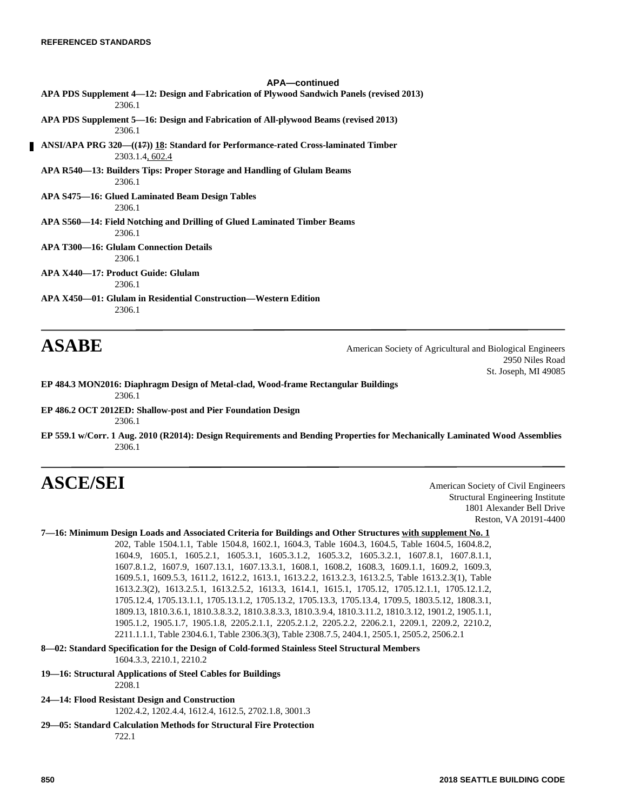# **APA—continued APA PDS Supplement 4—12: Design and Fabrication of Plywood Sandwich Panels (revised 2013)** 2306.1 **APA PDS Supplement 5—16: Design and Fabrication of All-plywood Beams (revised 2013)** 2306.1 **ANSI/APA PRG 320—((17)) 18: Standard for Performance-rated Cross-laminated Timber** 2303.1.4, 602.4 **APA R540—13: Builders Tips: Proper Storage and Handling of Glulam Beams** 2306.1 **APA S475—16: Glued Laminated Beam Design Tables** 2306.1 **APA S560—14: Field Notching and Drilling of Glued Laminated Timber Beams** 2306.1 **APA T300—16: Glulam Connection Details** 2306.1 **APA X440—17: Product Guide: Glulam** 2306.1 **APA X450—01: Glulam in Residential Construction—Western Edition** 2306.1

**ASABE** American Society of Agricultural and Biological Engineers 2950 Niles Road St. Joseph, MI 49085

- **EP 484.3 MON2016: Diaphragm Design of Metal-clad, Wood-frame Rectangular Buildings** 2306.1
- **EP 486.2 OCT 2012ED: Shallow-post and Pier Foundation Design** 2306.1
- **EP 559.1 w/Corr. 1 Aug. 2010 (R2014): Design Requirements and Bending Properties for Mechanically Laminated Wood Assemblies** 2306.1

# **ASCE/SEI** American Society of Civil Engineers

Structural Engineering Institute 1801 Alexander Bell Drive Reston, VA 20191-4400

## **7—16: Minimum Design Loads and Associated Criteria for Buildings and Other Structures with supplement No. 1**

202, Table 1504.1.1, Table 1504.8, 1602.1, 1604.3, Table 1604.3, 1604.5, Table 1604.5, 1604.8.2, 1604.9, 1605.1, 1605.2.1, 1605.3.1, 1605.3.1.2, 1605.3.2, 1605.3.2.1, 1607.8.1, 1607.8.1.1, 1607.8.1.2, 1607.9, 1607.13.1, 1607.13.3.1, 1608.1, 1608.2, 1608.3, 1609.1.1, 1609.2, 1609.3, 1609.5.1, 1609.5.3, 1611.2, 1612.2, 1613.1, 1613.2.2, 1613.2.3, 1613.2.5, Table 1613.2.3(1), Table 1613.2.3(2), 1613.2.5.1, 1613.2.5.2, 1613.3, 1614.1, 1615.1, 1705.12, 1705.12.1.1, 1705.12.1.2, 1705.12.4, 1705.13.1.1, 1705.13.1.2, 1705.13.2, 1705.13.3, 1705.13.4, 1709.5, 1803.5.12, 1808.3.1, 1809.13, 1810.3.6.1, 1810.3.8.3.2, 1810.3.8.3.3, 1810.3.9.4, 1810.3.11.2, 1810.3.12, 1901.2, 1905.1.1, 1905.1.2, 1905.1.7, 1905.1.8, 2205.2.1.1, 2205.2.1.2, 2205.2.2, 2206.2.1, 2209.1, 2209.2, 2210.2, 2211.1.1.1, Table 2304.6.1, Table 2306.3(3), Table 2308.7.5, 2404.1, 2505.1, 2505.2, 2506.2.1

**8—02: Standard Specification for the Design of Cold-formed Stainless Steel Structural Members** 1604.3.3, 2210.1, 2210.2

2208.1

### **19—16: Structural Applications of Steel Cables for Buildings**

- **24—14: Flood Resistant Design and Construction** 1202.4.2, 1202.4.4, 1612.4, 1612.5, 2702.1.8, 3001.3
- **29—05: Standard Calculation Methods for Structural Fire Protection** 722.1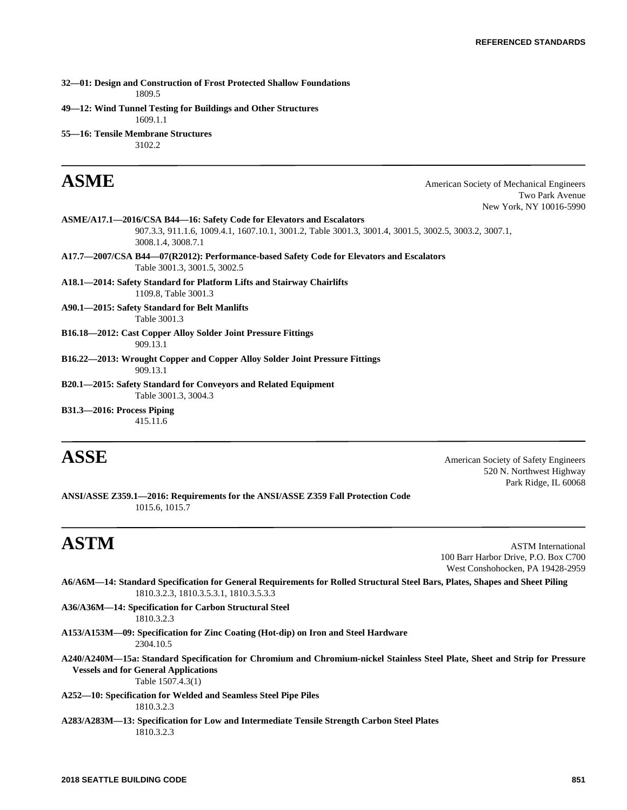**32—01: Design and Construction of Frost Protected Shallow Foundations**

1809.5

**49—12: Wind Tunnel Testing for Buildings and Other Structures**

1609.1.1

**55—16: Tensile Membrane Structures**

# 3102.2

**ASME** American Society of Mechanical Engineers Two Park Avenue New York, NY 10016-5990

- **ASME/A17.1—2016/CSA B44—16: Safety Code for Elevators and Escalators** 907.3.3, 911.1.6, 1009.4.1, 1607.10.1, 3001.2, Table 3001.3, 3001.4, 3001.5, 3002.5, 3003.2, 3007.1, 3008.1.4, 3008.7.1
- **A17.7—2007/CSA B44—07(R2012): Performance-based Safety Code for Elevators and Escalators** Table 3001.3, 3001.5, 3002.5

**A18.1—2014: Safety Standard for Platform Lifts and Stairway Chairlifts** 1109.8, Table 3001.3

**A90.1—2015: Safety Standard for Belt Manlifts** Table 3001.3

**B16.18—2012: Cast Copper Alloy Solder Joint Pressure Fittings** 909.13.1

**B16.22—2013: Wrought Copper and Copper Alloy Solder Joint Pressure Fittings** 909.13.1

**B20.1—2015: Safety Standard for Conveyors and Related Equipment** Table 3001.3, 3004.3

**B31.3—2016: Process Piping** 415.11.6

**ASSE** American Society of Safety Engineers 520 N. Northwest Highway Park Ridge, IL 60068

**ANSI/ASSE Z359.1—2016: Requirements for the ANSI/ASSE Z359 Fall Protection Code** 1015.6, 1015.7

**ASTM** ASTM International 100 Barr Harbor Drive, P.O. Box C700 West Conshohocken, PA 19428-2959

**A6/A6M—14: Standard Specification for General Requirements for Rolled Structural Steel Bars, Plates, Shapes and Sheet Piling** 1810.3.2.3, 1810.3.5.3.1, 1810.3.5.3.3

**A36/A36M—14: Specification for Carbon Structural Steel** 1810.3.2.3

**A153/A153M—09: Specification for Zinc Coating (Hot-dip) on Iron and Steel Hardware** 2304.10.5

**A240/A240M—15a: Standard Specification for Chromium and Chromium-nickel Stainless Steel Plate, Sheet and Strip for Pressure Vessels and for General Applications**

Table 1507.4.3(1)

**A252—10: Specification for Welded and Seamless Steel Pipe Piles** 1810.3.2.3

**A283/A283M—13: Specification for Low and Intermediate Tensile Strength Carbon Steel Plates** 1810.3.2.3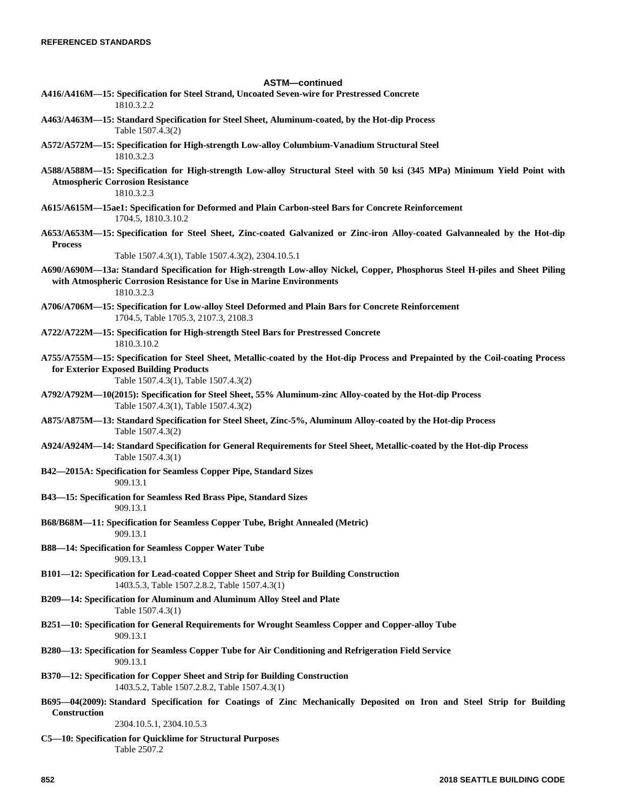# **ASTM—continued**

| ASIM—continued                                                                                                                                                                                                     |
|--------------------------------------------------------------------------------------------------------------------------------------------------------------------------------------------------------------------|
| A416/A416M—15: Specification for Steel Strand, Uncoated Seven-wire for Prestressed Concrete<br>1810.3.2.2                                                                                                          |
| A463/A463M—15: Standard Specification for Steel Sheet, Aluminum-coated, by the Hot-dip Process<br>Table 1507.4.3(2)                                                                                                |
| A572/A572M—15: Specification for High-strength Low-alloy Columbium-Vanadium Structural Steel<br>1810.3.2.3                                                                                                         |
| A588/A588M—15: Specification for High-strength Low-alloy Structural Steel with 50 ksi (345 MPa) Minimum Yield Point with<br><b>Atmospheric Corrosion Resistance</b><br>1810.3.2.3                                  |
| A615/A615M-15ae1: Specification for Deformed and Plain Carbon-steel Bars for Concrete Reinforcement<br>1704.5, 1810.3.10.2                                                                                         |
| A653/A653M-15: Specification for Steel Sheet, Zinc-coated Galvanized or Zinc-iron Alloy-coated Galvannealed by the Hot-dip<br><b>Process</b>                                                                       |
| Table 1507.4.3(1), Table 1507.4.3(2), 2304.10.5.1                                                                                                                                                                  |
| A690/A690M—13a: Standard Specification for High-strength Low-alloy Nickel, Copper, Phosphorus Steel H-piles and Sheet Piling<br>with Atmospheric Corrosion Resistance for Use in Marine Environments<br>1810.3.2.3 |
| A706/A706M-15: Specification for Low-alloy Steel Deformed and Plain Bars for Concrete Reinforcement<br>1704.5, Table 1705.3, 2107.3, 2108.3                                                                        |
| A722/A722M-15: Specification for High-strength Steel Bars for Prestressed Concrete<br>1810.3.10.2                                                                                                                  |
| A755/A755M-15: Specification for Steel Sheet, Metallic-coated by the Hot-dip Process and Prepainted by the Coil-coating Process<br>for Exterior Exposed Building Products<br>Table 1507.4.3(1), Table 1507.4.3(2)  |
| A792/A792M—10(2015): Specification for Steel Sheet, 55% Aluminum-zinc Alloy-coated by the Hot-dip Process<br>Table 1507.4.3(1), Table 1507.4.3(2)                                                                  |
| A875/A875M-13: Standard Specification for Steel Sheet, Zinc-5%, Aluminum Alloy-coated by the Hot-dip Process<br>Table 1507.4.3(2)                                                                                  |
| A924/A924M-14: Standard Specification for General Requirements for Steel Sheet, Metallic-coated by the Hot-dip Process<br>Table 1507.4.3(1)                                                                        |
| B42-2015A: Specification for Seamless Copper Pipe, Standard Sizes<br>909.13.1                                                                                                                                      |
| B43—15: Specification for Seamless Red Brass Pipe, Standard Sizes<br>909.13.1                                                                                                                                      |
| B68/B68M—11: Specification for Seamless Copper Tube, Bright Annealed (Metric)<br>909.13.1                                                                                                                          |
| <b>B88—14: Specification for Seamless Copper Water Tube</b><br>909.13.1                                                                                                                                            |
| B101-12: Specification for Lead-coated Copper Sheet and Strip for Building Construction<br>1403.5.3, Table 1507.2.8.2, Table 1507.4.3(1)                                                                           |
| B209-14: Specification for Aluminum and Aluminum Alloy Steel and Plate<br>Table 1507.4.3(1)                                                                                                                        |
| B251—10: Specification for General Requirements for Wrought Seamless Copper and Copper-alloy Tube<br>909.13.1                                                                                                      |
| B280—13: Specification for Seamless Copper Tube for Air Conditioning and Refrigeration Field Service<br>909.13.1                                                                                                   |
| B370-12: Specification for Copper Sheet and Strip for Building Construction<br>1403.5.2, Table 1507.2.8.2, Table 1507.4.3(1)                                                                                       |
| B695—04(2009): Standard Specification for Coatings of Zinc Mechanically Deposited on Iron and Steel Strip for Building<br>Construction                                                                             |
| 2304.10.5.1, 2304.10.5.3                                                                                                                                                                                           |
| C5—10: Specification for Quicklime for Structural Purposes<br>Table 2507.2                                                                                                                                         |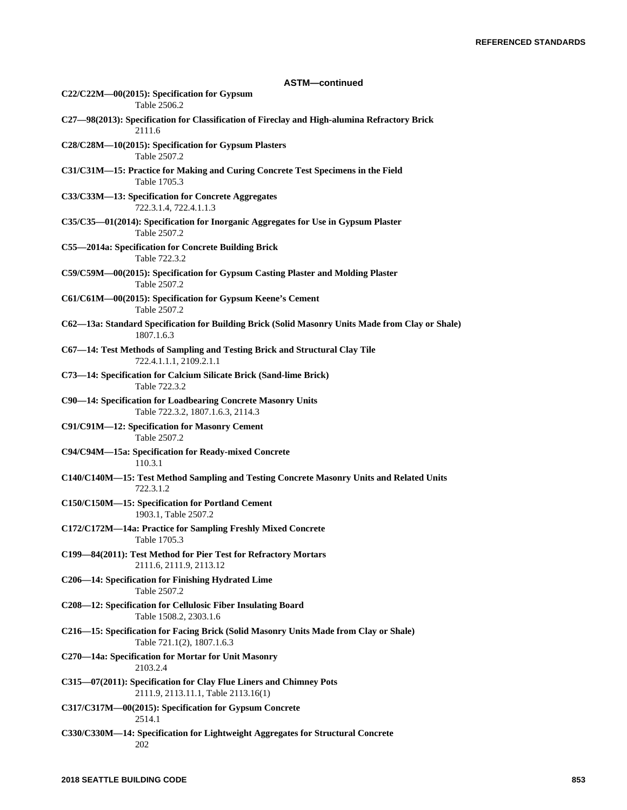| <b>ASTM-continued</b>                                                                                               |
|---------------------------------------------------------------------------------------------------------------------|
| $C22/C22M - 00(2015)$ : Specification for Gypsum<br>Table 2506.2                                                    |
| C27-98(2013): Specification for Classification of Fireclay and High-alumina Refractory Brick<br>2111.6              |
| C28/C28M-10(2015): Specification for Gypsum Plasters<br>Table 2507.2                                                |
| C31/C31M-15: Practice for Making and Curing Concrete Test Specimens in the Field<br>Table 1705.3                    |
| C33/C33M-13: Specification for Concrete Aggregates<br>722.3.1.4, 722.4.1.1.3                                        |
| C35/C35-01(2014): Specification for Inorganic Aggregates for Use in Gypsum Plaster<br>Table 2507.2                  |
| C55-2014a: Specification for Concrete Building Brick<br>Table 722.3.2                                               |
| C59/C59M-00(2015): Specification for Gypsum Casting Plaster and Molding Plaster<br>Table 2507.2                     |
| C61/C61M-00(2015): Specification for Gypsum Keene's Cement<br>Table 2507.2                                          |
| C62-13a: Standard Specification for Building Brick (Solid Masonry Units Made from Clay or Shale)<br>1807.1.6.3      |
| C67-14: Test Methods of Sampling and Testing Brick and Structural Clay Tile<br>722.4.1.1.1, 2109.2.1.1              |
| C73-14: Specification for Calcium Silicate Brick (Sand-lime Brick)<br>Table 722.3.2                                 |
| C90-14: Specification for Loadbearing Concrete Masonry Units<br>Table 722.3.2, 1807.1.6.3, 2114.3                   |
| C91/C91M-12: Specification for Masonry Cement<br>Table 2507.2                                                       |
| C94/C94M-15a: Specification for Ready-mixed Concrete<br>110.3.1                                                     |
| C140/C140M-15: Test Method Sampling and Testing Concrete Masonry Units and Related Units<br>722.3.1.2               |
| C150/C150M-15: Specification for Portland Cement<br>1903.1, Table 2507.2                                            |
| C172/C172M-14a: Practice for Sampling Freshly Mixed Concrete<br>Table 1705.3                                        |
| C199-84(2011): Test Method for Pier Test for Refractory Mortars<br>2111.6, 2111.9, 2113.12                          |
| C206-14: Specification for Finishing Hydrated Lime<br>Table 2507.2                                                  |
| C208-12: Specification for Cellulosic Fiber Insulating Board<br>Table 1508.2, 2303.1.6                              |
| C216-15: Specification for Facing Brick (Solid Masonry Units Made from Clay or Shale)<br>Table 721.1(2), 1807.1.6.3 |
| C270-14a: Specification for Mortar for Unit Masonry<br>2103.2.4                                                     |
| C315-07(2011): Specification for Clay Flue Liners and Chimney Pots<br>2111.9, 2113.11.1, Table 2113.16(1)           |
| C317/C317M-00(2015): Specification for Gypsum Concrete                                                              |
| 2514.1<br>C330/C330M-14: Specification for Lightweight Aggregates for Structural Concrete<br>202                    |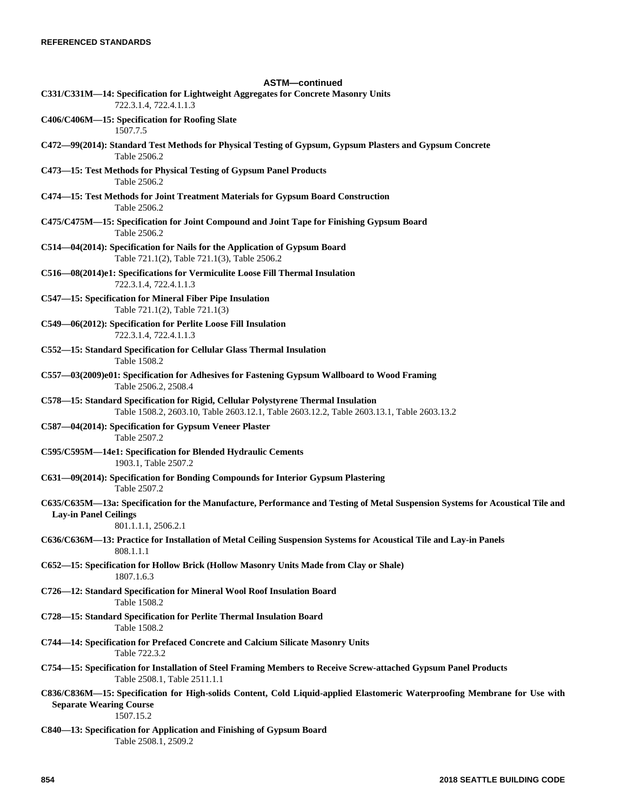| <b>ASTM-continued</b><br>C331/C331M-14: Specification for Lightweight Aggregates for Concrete Masonry Units<br>722.3.1.4, 722.4.1.1.3                                                 |
|---------------------------------------------------------------------------------------------------------------------------------------------------------------------------------------|
| C406/C406M-15: Specification for Roofing Slate<br>1507.7.5                                                                                                                            |
| C472-99(2014): Standard Test Methods for Physical Testing of Gypsum, Gypsum Plasters and Gypsum Concrete<br>Table 2506.2                                                              |
| C473-15: Test Methods for Physical Testing of Gypsum Panel Products<br>Table 2506.2                                                                                                   |
| C474-15: Test Methods for Joint Treatment Materials for Gypsum Board Construction<br>Table 2506.2                                                                                     |
| C475/C475M-15: Specification for Joint Compound and Joint Tape for Finishing Gypsum Board<br>Table 2506.2                                                                             |
| C514—04(2014): Specification for Nails for the Application of Gypsum Board<br>Table 721.1(2), Table 721.1(3), Table 2506.2                                                            |
| C516-08(2014)e1: Specifications for Vermiculite Loose Fill Thermal Insulation<br>722.3.1.4, 722.4.1.1.3                                                                               |
| C547-15: Specification for Mineral Fiber Pipe Insulation<br>Table 721.1(2), Table 721.1(3)                                                                                            |
| C549-06(2012): Specification for Perlite Loose Fill Insulation<br>722.3.1.4, 722.4.1.1.3                                                                                              |
| C552-15: Standard Specification for Cellular Glass Thermal Insulation<br>Table 1508.2                                                                                                 |
| C557-03(2009)e01: Specification for Adhesives for Fastening Gypsum Wallboard to Wood Framing<br>Table 2506.2, 2508.4                                                                  |
| C578-15: Standard Specification for Rigid, Cellular Polystyrene Thermal Insulation<br>Table 1508.2, 2603.10, Table 2603.12.1, Table 2603.12.2, Table 2603.13.1, Table 2603.13.2       |
| C587-04(2014): Specification for Gypsum Veneer Plaster<br>Table 2507.2                                                                                                                |
| C595/C595M-14e1: Specification for Blended Hydraulic Cements<br>1903.1, Table 2507.2                                                                                                  |
| C631-09(2014): Specification for Bonding Compounds for Interior Gypsum Plastering<br>Table 2507.2                                                                                     |
| C635/C635M-13a: Specification for the Manufacture, Performance and Testing of Metal Suspension Systems for Acoustical Tile and<br><b>Lay-in Panel Ceilings</b><br>801.1.1.1, 2506.2.1 |
| C636/C636M-13: Practice for Installation of Metal Ceiling Suspension Systems for Acoustical Tile and Lay-in Panels<br>808.1.1.1                                                       |
| C652—15: Specification for Hollow Brick (Hollow Masonry Units Made from Clay or Shale)<br>1807.1.6.3                                                                                  |
| C726-12: Standard Specification for Mineral Wool Roof Insulation Board<br>Table 1508.2                                                                                                |
| C728-15: Standard Specification for Perlite Thermal Insulation Board<br>Table 1508.2                                                                                                  |
| C744-14: Specification for Prefaced Concrete and Calcium Silicate Masonry Units<br>Table 722.3.2                                                                                      |
| C754-15: Specification for Installation of Steel Framing Members to Receive Screw-attached Gypsum Panel Products<br>Table 2508.1, Table 2511.1.1                                      |
| C836/C836M-15: Specification for High-solids Content, Cold Liquid-applied Elastomeric Waterproofing Membrane for Use with<br><b>Separate Wearing Course</b><br>1507.15.2              |
| C840-13: Specification for Application and Finishing of Gypsum Board<br>Table 2508.1, 2509.2                                                                                          |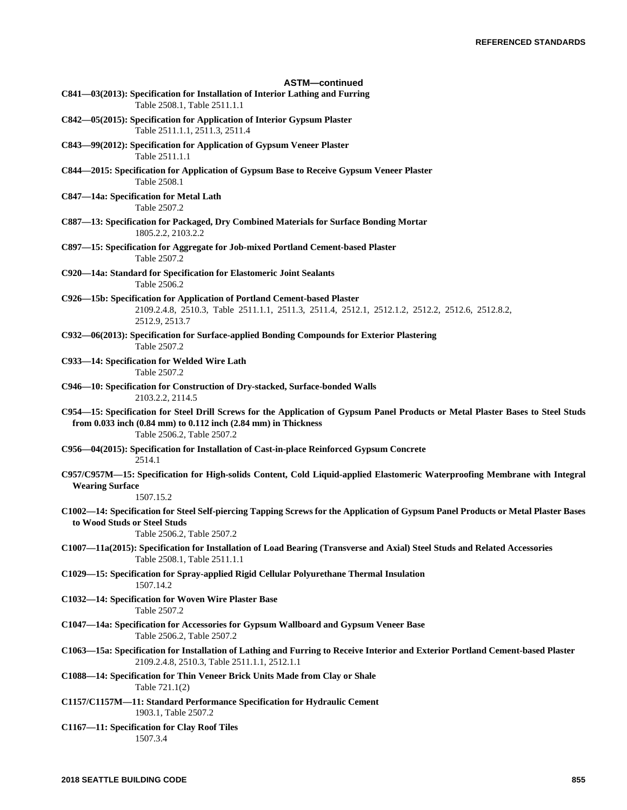| <b>ASTM-continued</b>                                                                                                                                                                                                                    |
|------------------------------------------------------------------------------------------------------------------------------------------------------------------------------------------------------------------------------------------|
| C841-03(2013): Specification for Installation of Interior Lathing and Furring<br>Table 2508.1, Table 2511.1.1                                                                                                                            |
| C842—05(2015): Specification for Application of Interior Gypsum Plaster<br>Table 2511.1.1, 2511.3, 2511.4                                                                                                                                |
| C843—99(2012): Specification for Application of Gypsum Veneer Plaster<br>Table 2511.1.1                                                                                                                                                  |
| C844—2015: Specification for Application of Gypsum Base to Receive Gypsum Veneer Plaster<br>Table 2508.1                                                                                                                                 |
| C847-14a: Specification for Metal Lath<br>Table 2507.2                                                                                                                                                                                   |
| C887-13: Specification for Packaged, Dry Combined Materials for Surface Bonding Mortar<br>1805.2.2, 2103.2.2                                                                                                                             |
| C897-15: Specification for Aggregate for Job-mixed Portland Cement-based Plaster<br>Table 2507.2                                                                                                                                         |
| C920—14a: Standard for Specification for Elastomeric Joint Sealants<br>Table 2506.2                                                                                                                                                      |
| C926-15b: Specification for Application of Portland Cement-based Plaster<br>2109.2.4.8, 2510.3, Table 2511.1.1, 2511.3, 2511.4, 2512.1, 2512.1.2, 2512.2, 2512.6, 2512.8.2,<br>2512.9, 2513.7                                            |
| C932—06(2013): Specification for Surface-applied Bonding Compounds for Exterior Plastering<br>Table 2507.2                                                                                                                               |
| C933-14: Specification for Welded Wire Lath<br>Table 2507.2                                                                                                                                                                              |
| C946-10: Specification for Construction of Dry-stacked, Surface-bonded Walls<br>2103.2.2, 2114.5                                                                                                                                         |
| C954—15: Specification for Steel Drill Screws for the Application of Gypsum Panel Products or Metal Plaster Bases to Steel Studs<br>from $0.033$ inch $(0.84$ mm) to $0.112$ inch $(2.84$ mm) in Thickness<br>Table 2506.2, Table 2507.2 |
| C956—04(2015): Specification for Installation of Cast-in-place Reinforced Gypsum Concrete<br>2514.1                                                                                                                                      |
| C957/C957M—15: Specification for High-solids Content, Cold Liquid-applied Elastomeric Waterproofing Membrane with Integral<br><b>Wearing Surface</b><br>1507.15.2                                                                        |
| C1002—14: Specification for Steel Self-piercing Tapping Screws for the Application of Gypsum Panel Products or Metal Plaster Bases<br>to Wood Studs or Steel Studs<br>Table 2506.2, Table 2507.2                                         |
| C1007-11a(2015): Specification for Installation of Load Bearing (Transverse and Axial) Steel Studs and Related Accessories<br>Table 2508.1, Table 2511.1.1                                                                               |
| C1029—15: Specification for Spray-applied Rigid Cellular Polyurethane Thermal Insulation<br>1507.14.2                                                                                                                                    |
| C1032-14: Specification for Woven Wire Plaster Base<br>Table 2507.2                                                                                                                                                                      |
| C1047—14a: Specification for Accessories for Gypsum Wallboard and Gypsum Veneer Base<br>Table 2506.2, Table 2507.2                                                                                                                       |
| C1063—15a: Specification for Installation of Lathing and Furring to Receive Interior and Exterior Portland Cement-based Plaster<br>2109.2.4.8, 2510.3, Table 2511.1.1, 2512.1.1                                                          |
| C1088—14: Specification for Thin Veneer Brick Units Made from Clay or Shale<br>Table 721.1(2)                                                                                                                                            |
| C1157/C1157M-11: Standard Performance Specification for Hydraulic Cement<br>1903.1, Table 2507.2                                                                                                                                         |
| C1167-11: Specification for Clay Roof Tiles<br>1507.3.4                                                                                                                                                                                  |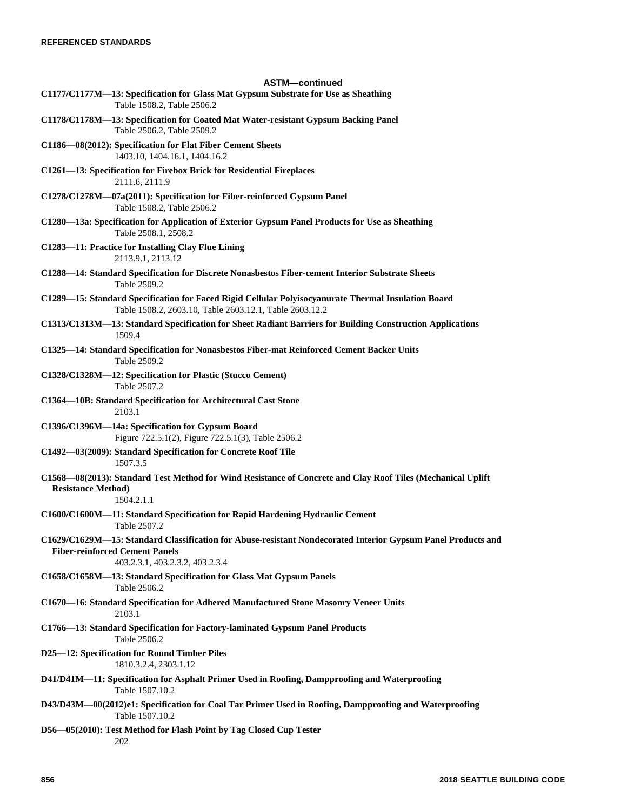| <b>ASTM-continued</b>                                                                                                                                                                    |
|------------------------------------------------------------------------------------------------------------------------------------------------------------------------------------------|
| C1177/C1177M-13: Specification for Glass Mat Gypsum Substrate for Use as Sheathing<br>Table 1508.2, Table 2506.2                                                                         |
| C1178/C1178M-13: Specification for Coated Mat Water-resistant Gypsum Backing Panel<br>Table 2506.2, Table 2509.2                                                                         |
| C1186-08(2012): Specification for Flat Fiber Cement Sheets<br>1403.10, 1404.16.1, 1404.16.2                                                                                              |
| C1261-13: Specification for Firebox Brick for Residential Fireplaces<br>2111.6, 2111.9                                                                                                   |
| C1278/C1278M-07a(2011): Specification for Fiber-reinforced Gypsum Panel<br>Table 1508.2, Table 2506.2                                                                                    |
| C1280-13a: Specification for Application of Exterior Gypsum Panel Products for Use as Sheathing<br>Table 2508.1, 2508.2                                                                  |
| C1283-11: Practice for Installing Clay Flue Lining<br>2113.9.1, 2113.12                                                                                                                  |
| C1288—14: Standard Specification for Discrete Nonasbestos Fiber-cement Interior Substrate Sheets<br>Table 2509.2                                                                         |
| C1289—15: Standard Specification for Faced Rigid Cellular Polyisocyanurate Thermal Insulation Board<br>Table 1508.2, 2603.10, Table 2603.12.1, Table 2603.12.2                           |
| C1313/C1313M-13: Standard Specification for Sheet Radiant Barriers for Building Construction Applications<br>1509.4                                                                      |
| C1325-14: Standard Specification for Nonasbestos Fiber-mat Reinforced Cement Backer Units<br>Table 2509.2                                                                                |
| C1328/C1328M-12: Specification for Plastic (Stucco Cement)<br>Table 2507.2                                                                                                               |
| C1364-10B: Standard Specification for Architectural Cast Stone<br>2103.1                                                                                                                 |
| C1396/C1396M-14a: Specification for Gypsum Board<br>Figure 722.5.1(2), Figure 722.5.1(3), Table 2506.2                                                                                   |
| C1492-03(2009): Standard Specification for Concrete Roof Tile<br>1507.3.5                                                                                                                |
| C1568-08(2013): Standard Test Method for Wind Resistance of Concrete and Clay Roof Tiles (Mechanical Uplift<br><b>Resistance Method)</b><br>1504.2.1.1                                   |
| C1600/C1600M-11: Standard Specification for Rapid Hardening Hydraulic Cement<br>Table 2507.2                                                                                             |
| C1629/C1629M—15: Standard Classification for Abuse-resistant Nondecorated Interior Gypsum Panel Products and<br><b>Fiber-reinforced Cement Panels</b><br>403.2.3.1, 403.2.3.2, 403.2.3.4 |
| C1658/C1658M-13: Standard Specification for Glass Mat Gypsum Panels<br>Table 2506.2                                                                                                      |
| C1670-16: Standard Specification for Adhered Manufactured Stone Masonry Veneer Units<br>2103.1                                                                                           |
| C1766-13: Standard Specification for Factory-laminated Gypsum Panel Products<br>Table 2506.2                                                                                             |
| D25-12: Specification for Round Timber Piles<br>1810.3.2.4, 2303.1.12                                                                                                                    |
| D41/D41M-11: Specification for Asphalt Primer Used in Roofing, Dampproofing and Waterproofing<br>Table 1507.10.2                                                                         |
| D43/D43M-00(2012)e1: Specification for Coal Tar Primer Used in Roofing, Dampproofing and Waterproofing<br>Table 1507.10.2                                                                |
| D56-05(2010): Test Method for Flash Point by Tag Closed Cup Tester<br>202                                                                                                                |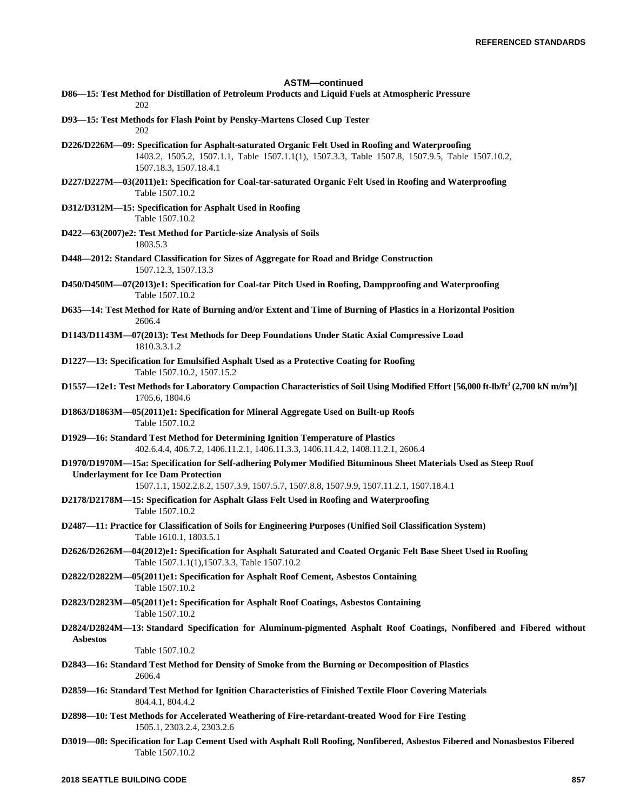**ASTM—continued D86—15: Test Method for Distillation of Petroleum Products and Liquid Fuels at Atmospheric Pressure** 202 **D93—15: Test Methods for Flash Point by Pensky-Martens Closed Cup Tester** 202 **D226/D226M—09: Specification for Asphalt-saturated Organic Felt Used in Roofing and Waterproofing** 1403.2, 1505.2, 1507.1.1, Table 1507.1.1(1), 1507.3.3, Table 1507.8, 1507.9.5, Table 1507.10.2, 1507.18.3, 1507.18.4.1 **D227/D227M—03(2011)e1: Specification for Coal-tar-saturated Organic Felt Used in Roofing and Waterproofing** Table 1507.10.2 **D312/D312M—15: Specification for Asphalt Used in Roofing** Table 1507.10.2 **D422—63(2007)e2: Test Method for Particle-size Analysis of Soils** 1803.5.3 **D448—2012: Standard Classification for Sizes of Aggregate for Road and Bridge Construction** 1507.12.3, 1507.13.3 **D450/D450M—07(2013)e1: Specification for Coal-tar Pitch Used in Roofing, Dampproofing and Waterproofing** Table 1507.10.2 **D635—14: Test Method for Rate of Burning and/or Extent and Time of Burning of Plastics in a Horizontal Position** 2606.4 **D1143/D1143M—07(2013): Test Methods for Deep Foundations Under Static Axial Compressive Load** 1810.3.3.1.2 **D1227—13: Specification for Emulsified Asphalt Used as a Protective Coating for Roofing** Table 1507.10.2, 1507.15.2 **D1557—12e1: Test Methods for Laboratory Compaction Characteristics of Soil Using Modified Effort [56,000 ft-lb/ft<sup>3</sup> (2,700 kN m/m<sup>3</sup> )]** 1705.6, 1804.6 **D1863/D1863M—05(2011)e1: Specification for Mineral Aggregate Used on Built-up Roofs** Table 1507.10.2 **D1929—16: Standard Test Method for Determining Ignition Temperature of Plastics** 402.6.4.4, 406.7.2, 1406.11.2.1, 1406.11.3.3, 1406.11.4.2, 1408.11.2.1, 2606.4 **D1970/D1970M—15a: Specification for Self-adhering Polymer Modified Bituminous Sheet Materials Used as Steep Roof Underlayment for Ice Dam Protection** 1507.1.1, 1502.2.8.2, 1507.3.9, 1507.5.7, 1507.8.8, 1507.9.9, 1507.11.2.1, 1507.18.4.1 **D2178/D2178M—15: Specification for Asphalt Glass Felt Used in Roofing and Waterproofing** Table 1507.10.2 **D2487—11: Practice for Classification of Soils for Engineering Purposes (Unified Soil Classification System)** Table 1610.1, 1803.5.1 **D2626/D2626M—04(2012)e1: Specification for Asphalt Saturated and Coated Organic Felt Base Sheet Used in Roofing** Table 1507.1.1(1),1507.3.3, Table 1507.10.2 **D2822/D2822M—05(2011)e1: Specification for Asphalt Roof Cement, Asbestos Containing** Table 1507.10.2 **D2823/D2823M—05(2011)e1: Specification for Asphalt Roof Coatings, Asbestos Containing** Table 1507.10.2 **D2824/D2824M—13: Standard Specification for Aluminum-pigmented Asphalt Roof Coatings, Nonfibered and Fibered without Asbestos** Table 1507.10.2 **D2843—16: Standard Test Method for Density of Smoke from the Burning or Decomposition of Plastics** 2606.4 **D2859—16: Standard Test Method for Ignition Characteristics of Finished Textile Floor Covering Materials** 804.4.1, 804.4.2 **D2898—10: Test Methods for Accelerated Weathering of Fire-retardant-treated Wood for Fire Testing** 1505.1, 2303.2.4, 2303.2.6 **D3019—08: Specification for Lap Cement Used with Asphalt Roll Roofing, Nonfibered, Asbestos Fibered and Nonasbestos Fibered** Table 1507.10.2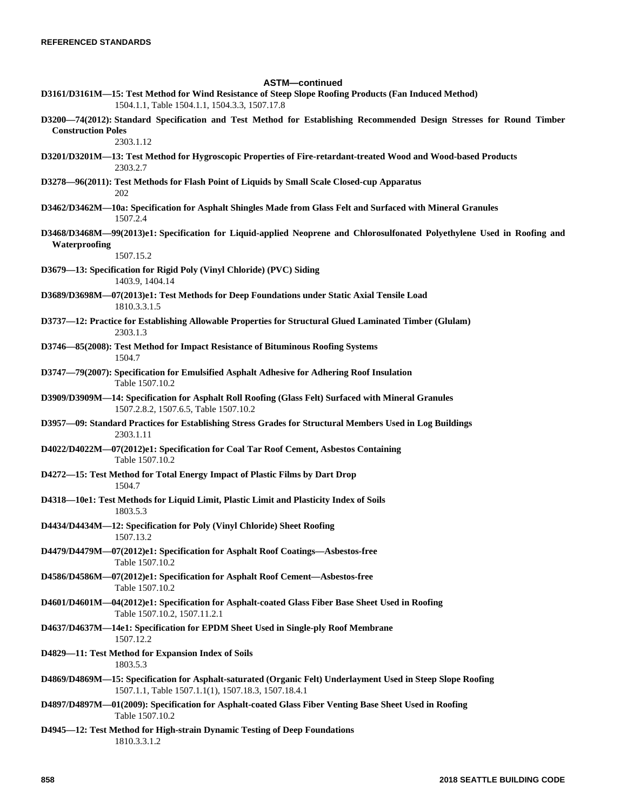**ASTM—continued D3161/D3161M—15: Test Method for Wind Resistance of Steep Slope Roofing Products (Fan Induced Method)** 1504.1.1, Table 1504.1.1, 1504.3.3, 1507.17.8 **D3200—74(2012): Standard Specification and Test Method for Establishing Recommended Design Stresses for Round Timber Construction Poles** 2303.1.12 **D3201/D3201M—13: Test Method for Hygroscopic Properties of Fire-retardant-treated Wood and Wood-based Products** 2303.2.7 **D3278—96(2011): Test Methods for Flash Point of Liquids by Small Scale Closed-cup Apparatus** 202 **D3462/D3462M—10a: Specification for Asphalt Shingles Made from Glass Felt and Surfaced with Mineral Granules** 1507.2.4 **D3468/D3468M—99(2013)e1: Specification for Liquid-applied Neoprene and Chlorosulfonated Polyethylene Used in Roofing and Waterproofing** 1507.15.2 **D3679—13: Specification for Rigid Poly (Vinyl Chloride) (PVC) Siding** 1403.9, 1404.14 **D3689/D3698M—07(2013)e1: Test Methods for Deep Foundations under Static Axial Tensile Load** 1810.3.3.1.5 **D3737—12: Practice for Establishing Allowable Properties for Structural Glued Laminated Timber (Glulam)** 2303.1.3 **D3746—85(2008): Test Method for Impact Resistance of Bituminous Roofing Systems** 1504.7 **D3747—79(2007): Specification for Emulsified Asphalt Adhesive for Adhering Roof Insulation** Table 1507.10.2 **D3909/D3909M—14: Specification for Asphalt Roll Roofing (Glass Felt) Surfaced with Mineral Granules** 1507.2.8.2, 1507.6.5, Table 1507.10.2 **D3957—09: Standard Practices for Establishing Stress Grades for Structural Members Used in Log Buildings** 2303.1.11 **D4022/D4022M—07(2012)e1: Specification for Coal Tar Roof Cement, Asbestos Containing** Table 1507.10.2 **D4272—15: Test Method for Total Energy Impact of Plastic Films by Dart Drop** 1504.7 **D4318—10e1: Test Methods for Liquid Limit, Plastic Limit and Plasticity Index of Soils** 1803.5.3 **D4434/D4434M—12: Specification for Poly (Vinyl Chloride) Sheet Roofing** 1507.13.2 **D4479/D4479M—07(2012)e1: Specification for Asphalt Roof Coatings—Asbestos-free** Table 1507.10.2 **D4586/D4586M—07(2012)e1: Specification for Asphalt Roof Cement—Asbestos-free** Table 1507.10.2 **D4601/D4601M—04(2012)e1: Specification for Asphalt-coated Glass Fiber Base Sheet Used in Roofing** Table 1507.10.2, 1507.11.2.1 **D4637/D4637M—14e1: Specification for EPDM Sheet Used in Single-ply Roof Membrane** 1507.12.2 **D4829—11: Test Method for Expansion Index of Soils** 1803.5.3 **D4869/D4869M—15: Specification for Asphalt-saturated (Organic Felt) Underlayment Used in Steep Slope Roofing** 1507.1.1, Table 1507.1.1(1), 1507.18.3, 1507.18.4.1 **D4897/D4897M—01(2009): Specification for Asphalt-coated Glass Fiber Venting Base Sheet Used in Roofing** Table 1507.10.2 **D4945—12: Test Method for High-strain Dynamic Testing of Deep Foundations** 1810.3.3.1.2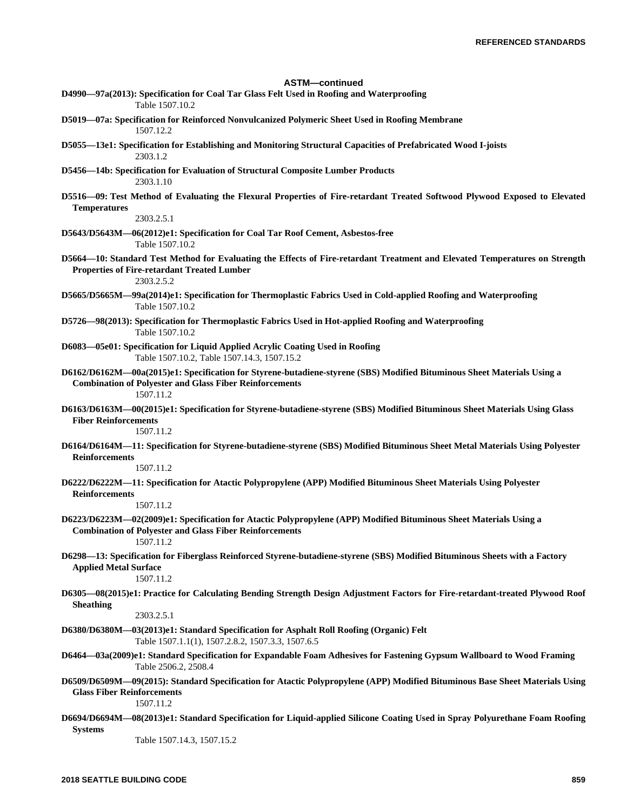| <b>ASTM-continued</b><br>D4990-97a(2013): Specification for Coal Tar Glass Felt Used in Roofing and Waterproofing                                                                                      |
|--------------------------------------------------------------------------------------------------------------------------------------------------------------------------------------------------------|
| Table 1507.10.2                                                                                                                                                                                        |
| D5019—07a: Specification for Reinforced Nonvulcanized Polymeric Sheet Used in Roofing Membrane<br>1507.12.2                                                                                            |
| D5055-13e1: Specification for Establishing and Monitoring Structural Capacities of Prefabricated Wood I-joists<br>2303.1.2                                                                             |
| D5456—14b: Specification for Evaluation of Structural Composite Lumber Products<br>2303.1.10                                                                                                           |
| D5516-09: Test Method of Evaluating the Flexural Properties of Fire-retardant Treated Softwood Plywood Exposed to Elevated<br><b>Temperatures</b>                                                      |
| 2303.2.5.1                                                                                                                                                                                             |
| D5643/D5643M—06(2012)e1: Specification for Coal Tar Roof Cement, Asbestos-free<br>Table 1507.10.2                                                                                                      |
| D5664-10: Standard Test Method for Evaluating the Effects of Fire-retardant Treatment and Elevated Temperatures on Strength<br><b>Properties of Fire-retardant Treated Lumber</b><br>2303.2.5.2        |
| D5665/D5665M—99a(2014)e1: Specification for Thermoplastic Fabrics Used in Cold-applied Roofing and Waterproofing<br>Table 1507.10.2                                                                    |
| D5726-98(2013): Specification for Thermoplastic Fabrics Used in Hot-applied Roofing and Waterproofing<br>Table 1507.10.2                                                                               |
| D6083-05e01: Specification for Liquid Applied Acrylic Coating Used in Roofing<br>Table 1507.10.2, Table 1507.14.3, 1507.15.2                                                                           |
| D6162/D6162M—00a(2015)e1: Specification for Styrene-butadiene-styrene (SBS) Modified Bituminous Sheet Materials Using a<br><b>Combination of Polyester and Glass Fiber Reinforcements</b><br>1507.11.2 |
| D6163/D6163M-00(2015)e1: Specification for Styrene-butadiene-styrene (SBS) Modified Bituminous Sheet Materials Using Glass<br><b>Fiber Reinforcements</b><br>1507.11.2                                 |
| D6164/D6164M-11: Specification for Styrene-butadiene-styrene (SBS) Modified Bituminous Sheet Metal Materials Using Polyester                                                                           |
| <b>Reinforcements</b><br>1507.11.2                                                                                                                                                                     |
|                                                                                                                                                                                                        |
| D6222/D6222M-11: Specification for Atactic Polypropylene (APP) Modified Bituminous Sheet Materials Using Polyester<br><b>Reinforcements</b>                                                            |
| 1507.11.2                                                                                                                                                                                              |
| D6223/D6223M-02(2009)e1: Specification for Atactic Polypropylene (APP) Modified Bituminous Sheet Materials Using a<br><b>Combination of Polyester and Glass Fiber Reinforcements</b><br>1507.11.2      |
| D6298—13: Specification for Fiberglass Reinforced Styrene-butadiene-styrene (SBS) Modified Bituminous Sheets with a Factory<br><b>Applied Metal Surface</b><br>1507.11.2                               |
| D6305-08(2015)e1: Practice for Calculating Bending Strength Design Adjustment Factors for Fire-retardant-treated Plywood Roof<br><b>Sheathing</b>                                                      |
| 2303.2.5.1                                                                                                                                                                                             |
| D6380/D6380M-03(2013)e1: Standard Specification for Asphalt Roll Roofing (Organic) Felt<br>Table 1507.1.1(1), 1507.2.8.2, 1507.3.3, 1507.6.5                                                           |
| D6464-03a(2009)e1: Standard Specification for Expandable Foam Adhesives for Fastening Gypsum Wallboard to Wood Framing<br>Table 2506.2, 2508.4                                                         |
| D6509/D6509M-09(2015): Standard Specification for Atactic Polypropylene (APP) Modified Bituminous Base Sheet Materials Using<br><b>Glass Fiber Reinforcements</b><br>1507.11.2                         |
| D6694/D6694M-08(2013)e1: Standard Specification for Liquid-applied Silicone Coating Used in Spray Polyurethane Foam Roofing<br><b>Systems</b><br>Table 1507.14.3, 1507.15.2                            |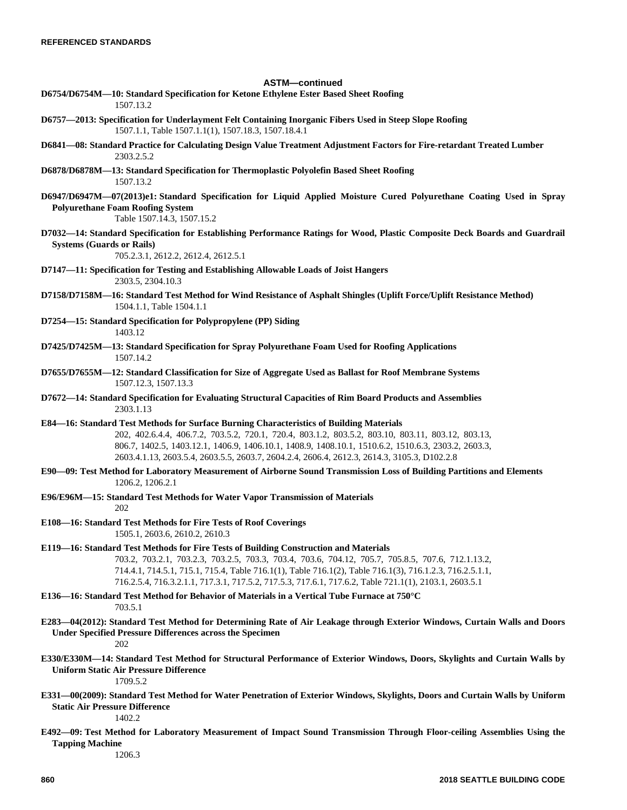# **ASTM—continued D6754/D6754M—10: Standard Specification for Ketone Ethylene Ester Based Sheet Roofing** 1507.13.2 **D6757—2013: Specification for Underlayment Felt Containing Inorganic Fibers Used in Steep Slope Roofing** 1507.1.1, Table 1507.1.1(1), 1507.18.3, 1507.18.4.1 **D6841—08: Standard Practice for Calculating Design Value Treatment Adjustment Factors for Fire-retardant Treated Lumber** 2303.2.5.2 **D6878/D6878M—13: Standard Specification for Thermoplastic Polyolefin Based Sheet Roofing** 1507.13.2 **D6947/D6947M—07(2013)e1: Standard Specification for Liquid Applied Moisture Cured Polyurethane Coating Used in Spray Polyurethane Foam Roofing System** Table 1507.14.3, 1507.15.2 **D7032—14: Standard Specification for Establishing Performance Ratings for Wood, Plastic Composite Deck Boards and Guardrail Systems (Guards or Rails)** 705.2.3.1, 2612.2, 2612.4, 2612.5.1 **D7147—11: Specification for Testing and Establishing Allowable Loads of Joist Hangers** 2303.5, 2304.10.3 **D7158/D7158M—16: Standard Test Method for Wind Resistance of Asphalt Shingles (Uplift Force/Uplift Resistance Method)** 1504.1.1, Table 1504.1.1 **D7254—15: Standard Specification for Polypropylene (PP) Siding** 1403.12 **D7425/D7425M—13: Standard Specification for Spray Polyurethane Foam Used for Roofing Applications** 1507.14.2 **D7655/D7655M—12: Standard Classification for Size of Aggregate Used as Ballast for Roof Membrane Systems** 1507.12.3, 1507.13.3 **D7672—14: Standard Specification for Evaluating Structural Capacities of Rim Board Products and Assemblies** 2303.1.13 **E84—16: Standard Test Methods for Surface Burning Characteristics of Building Materials** 202, 402.6.4.4, 406.7.2, 703.5.2, 720.1, 720.4, 803.1.2, 803.5.2, 803.10, 803.11, 803.12, 803.13, 806.7, 1402.5, 1403.12.1, 1406.9, 1406.10.1, 1408.9, 1408.10.1, 1510.6.2, 1510.6.3, 2303.2, 2603.3, 2603.4.1.13, 2603.5.4, 2603.5.5, 2603.7, 2604.2.4, 2606.4, 2612.3, 2614.3, 3105.3, D102.2.8 **E90—09: Test Method for Laboratory Measurement of Airborne Sound Transmission Loss of Building Partitions and Elements** 1206.2, 1206.2.1 **E96/E96M—15: Standard Test Methods for Water Vapor Transmission of Materials** 202 **E108—16: Standard Test Methods for Fire Tests of Roof Coverings** 1505.1, 2603.6, 2610.2, 2610.3 **E119—16: Standard Test Methods for Fire Tests of Building Construction and Materials** 703.2, 703.2.1, 703.2.3, 703.2.5, 703.3, 703.4, 703.6, 704.12, 705.7, 705.8.5, 707.6, 712.1.13.2, 714.4.1, 714.5.1, 715.1, 715.4, Table 716.1(1), Table 716.1(2), Table 716.1(3), 716.1.2.3, 716.2.5.1.1, 716.2.5.4, 716.3.2.1.1, 717.3.1, 717.5.2, 717.5.3, 717.6.1, 717.6.2, Table 721.1(1), 2103.1, 2603.5.1 **E136—16: Standard Test Method for Behavior of Materials in a Vertical Tube Furnace at 750°C** 703.5.1 **E283—04(2012): Standard Test Method for Determining Rate of Air Leakage through Exterior Windows, Curtain Walls and Doors Under Specified Pressure Differences across the Specimen** 202 **E330/E330M—14: Standard Test Method for Structural Performance of Exterior Windows, Doors, Skylights and Curtain Walls by Uniform Static Air Pressure Difference** 1709.5.2 **E331—00(2009): Standard Test Method for Water Penetration of Exterior Windows, Skylights, Doors and Curtain Walls by Uniform Static Air Pressure Difference**  $1402.2$

**E492—09: Test Method for Laboratory Measurement of Impact Sound Transmission Through Floor-ceiling Assemblies Using the Tapping Machine**

1206.3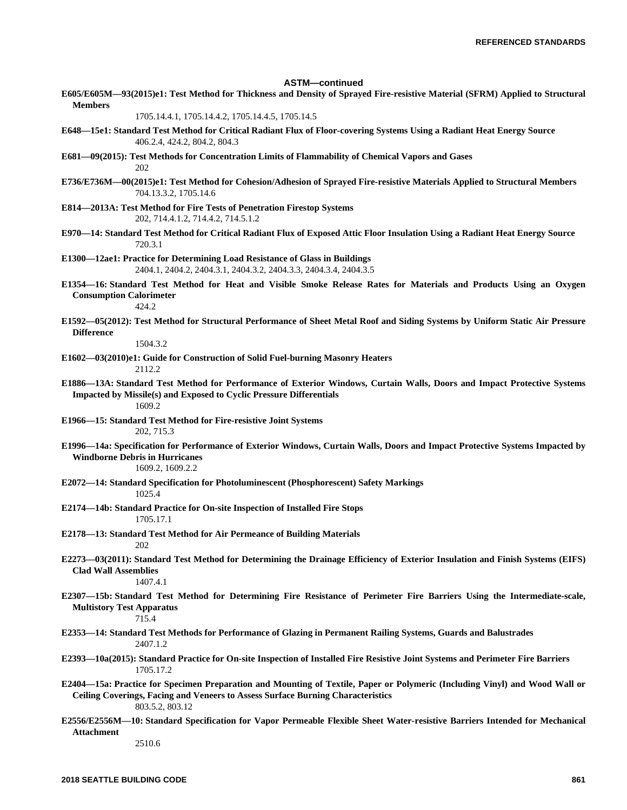### **ASTM—continued**

**E605/E605M—93(2015)e1: Test Method for Thickness and Density of Sprayed Fire-resistive Material (SFRM) Applied to Structural Members**

1705.14.4.1, 1705.14.4.2, 1705.14.4.5, 1705.14.5

- **E648—15e1: Standard Test Method for Critical Radiant Flux of Floor-covering Systems Using a Radiant Heat Energy Source** 406.2.4, 424.2, 804.2, 804.3
- **E681—09(2015): Test Methods for Concentration Limits of Flammability of Chemical Vapors and Gases** 202
- **E736/E736M—00(2015)e1: Test Method for Cohesion/Adhesion of Sprayed Fire-resistive Materials Applied to Structural Members** 704.13.3.2, 1705.14.6
- **E814—2013A: Test Method for Fire Tests of Penetration Firestop Systems** 202, 714.4.1.2, 714.4.2, 714.5.1.2
- **E970—14: Standard Test Method for Critical Radiant Flux of Exposed Attic Floor Insulation Using a Radiant Heat Energy Source** 720.3.1
- **E1300—12ae1: Practice for Determining Load Resistance of Glass in Buildings** 2404.1, 2404.2, 2404.3.1, 2404.3.2, 2404.3.3, 2404.3.4, 2404.3.5
- **E1354—16: Standard Test Method for Heat and Visible Smoke Release Rates for Materials and Products Using an Oxygen Consumption Calorimeter**
	- $424.2$
- **E1592—05(2012): Test Method for Structural Performance of Sheet Metal Roof and Siding Systems by Uniform Static Air Pressure Difference**

1504.3.2

- **E1602—03(2010)e1: Guide for Construction of Solid Fuel-burning Masonry Heaters** 2112.2
	-
- **E1886—13A: Standard Test Method for Performance of Exterior Windows, Curtain Walls, Doors and Impact Protective Systems Impacted by Missile(s) and Exposed to Cyclic Pressure Differentials** 1609.2
- **E1966—15: Standard Test Method for Fire-resistive Joint Systems** 202, 715.3
- **E1996—14a: Specification for Performance of Exterior Windows, Curtain Walls, Doors and Impact Protective Systems Impacted by Windborne Debris in Hurricanes**

1609.2, 1609.2.2

**E2072—14: Standard Specification for Photoluminescent (Phosphorescent) Safety Markings**

1025.4

- **E2174—14b: Standard Practice for On-site Inspection of Installed Fire Stops** 1705.17.1
- **E2178—13: Standard Test Method for Air Permeance of Building Materials** 202
- **E2273—03(2011): Standard Test Method for Determining the Drainage Efficiency of Exterior Insulation and Finish Systems (EIFS) Clad Wall Assemblies**

1407.4.1

**E2307—15b: Standard Test Method for Determining Fire Resistance of Perimeter Fire Barriers Using the Intermediate-scale, Multistory Test Apparatus**

## 715.4

- **E2353—14: Standard Test Methods for Performance of Glazing in Permanent Railing Systems, Guards and Balustrades** 2407.1.2
- **E2393—10a(2015): Standard Practice for On-site Inspection of Installed Fire Resistive Joint Systems and Perimeter Fire Barriers** 1705.17.2
- **E2404—15a: Practice for Specimen Preparation and Mounting of Textile, Paper or Polymeric (Including Vinyl) and Wood Wall or Ceiling Coverings, Facing and Veneers to Assess Surface Burning Characteristics** 803.5.2, 803.12
- **E2556/E2556M—10: Standard Specification for Vapor Permeable Flexible Sheet Water-resistive Barriers Intended for Mechanical Attachment**

2510.6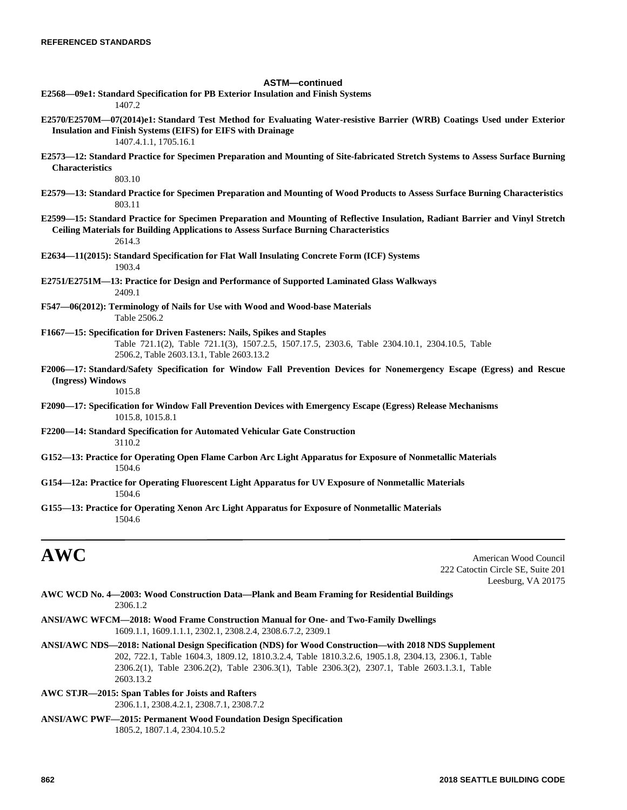# **ASTM—continued E2568—09e1: Standard Specification for PB Exterior Insulation and Finish Systems** 1407.2 **E2570/E2570M—07(2014)e1: Standard Test Method for Evaluating Water-resistive Barrier (WRB) Coatings Used under Exterior Insulation and Finish Systems (EIFS) for EIFS with Drainage** 1407.4.1.1, 1705.16.1 **E2573—12: Standard Practice for Specimen Preparation and Mounting of Site-fabricated Stretch Systems to Assess Surface Burning Characteristics** 803.10 **E2579—13: Standard Practice for Specimen Preparation and Mounting of Wood Products to Assess Surface Burning Characteristics** 803.11 **E2599—15: Standard Practice for Specimen Preparation and Mounting of Reflective Insulation, Radiant Barrier and Vinyl Stretch Ceiling Materials for Building Applications to Assess Surface Burning Characteristics** 2614.3 **E2634—11(2015): Standard Specification for Flat Wall Insulating Concrete Form (ICF) Systems** 1903.4 **E2751/E2751M—13: Practice for Design and Performance of Supported Laminated Glass Walkways** 2409.1 **F547—06(2012): Terminology of Nails for Use with Wood and Wood-base Materials** Table 2506.2 **F1667—15: Specification for Driven Fasteners: Nails, Spikes and Staples** Table 721.1(2), Table 721.1(3), 1507.2.5, 1507.17.5, 2303.6, Table 2304.10.1, 2304.10.5, Table 2506.2, Table 2603.13.1, Table 2603.13.2 **F2006—17: Standard/Safety Specification for Window Fall Prevention Devices for Nonemergency Escape (Egress) and Rescue (Ingress) Windows** 1015.8 **F2090—17: Specification for Window Fall Prevention Devices with Emergency Escape (Egress) Release Mechanisms** 1015.8, 1015.8.1 **F2200—14: Standard Specification for Automated Vehicular Gate Construction** 3110.2 **G152—13: Practice for Operating Open Flame Carbon Arc Light Apparatus for Exposure of Nonmetallic Materials** 1504.6 **G154—12a: Practice for Operating Fluorescent Light Apparatus for UV Exposure of Nonmetallic Materials** 1504.6 **G155—13: Practice for Operating Xenon Arc Light Apparatus for Exposure of Nonmetallic Materials** 1504.6

and a second Council and Table 2011 and Table 2012 and Table 2012 and Table 2012 and Table 2012 and Table 2012 and Table 2013 222 Catoctin Circle SE, Suite 201 Leesburg, VA 20175

| AWC WCD No. 4—2003: Wood Construction Data—Plank and Beam Framing for Residential Buildings |  |  |
|---------------------------------------------------------------------------------------------|--|--|
| 2306.1.2                                                                                    |  |  |

- **ANSI/AWC WFCM—2018: Wood Frame Construction Manual for One- and Two-Family Dwellings** 1609.1.1, 1609.1.1.1, 2302.1, 2308.2.4, 2308.6.7.2, 2309.1
- **ANSI/AWC NDS—2018: National Design Specification (NDS) for Wood Construction—with 2018 NDS Supplement** 202, 722.1, Table 1604.3, 1809.12, 1810.3.2.4, Table 1810.3.2.6, 1905.1.8, 2304.13, 2306.1, Table 2306.2(1), Table 2306.2(2), Table 2306.3(1), Table 2306.3(2), 2307.1, Table 2603.1.3.1, Table 2603.13.2
- **AWC STJR—2015: Span Tables for Joists and Rafters** 2306.1.1, 2308.4.2.1, 2308.7.1, 2308.7.2
- **ANSI/AWC PWF—2015: Permanent Wood Foundation Design Specification** 1805.2, 1807.1.4, 2304.10.5.2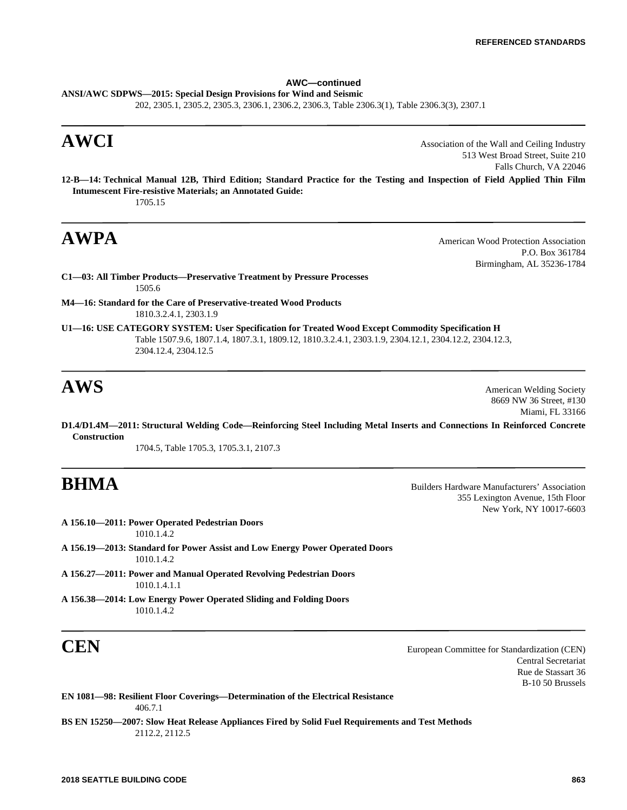# **AWC—continued**

**ANSI/AWC SDPWS—2015: Special Design Provisions for Wind and Seismic** 202, 2305.1, 2305.2, 2305.3, 2306.1, 2306.2, 2306.3, Table 2306.3(1), Table 2306.3(3), 2307.1

**AWCI** Association of the Wall and Ceiling Industry 513 West Broad Street, Suite 210 Falls Church, VA 22046

**12-B—14: Technical Manual 12B, Third Edition; Standard Practice for the Testing and Inspection of Field Applied Thin Film Intumescent Fire-resistive Materials; an Annotated Guide:** 1705.15

**AWPA** American Wood Protection Association P.O. Box 361784 Birmingham, AL 35236-1784

**C1—03: All Timber Products—Preservative Treatment by Pressure Processes** 1505.6

**M4—16: Standard for the Care of Preservative-treated Wood Products** 1810.3.2.4.1, 2303.1.9

**U1—16: USE CATEGORY SYSTEM: User Specification for Treated Wood Except Commodity Specification H** Table 1507.9.6, 1807.1.4, 1807.3.1, 1809.12, 1810.3.2.4.1, 2303.1.9, 2304.12.1, 2304.12.2, 2304.12.3, 2304.12.4, 2304.12.5

**AWS** American Welding Society 8669 NW 36 Street, #130 Miami, FL 33166

**D1.4/D1.4M—2011: Structural Welding Code—Reinforcing Steel Including Metal Inserts and Connections In Reinforced Concrete Construction**

1704.5, Table 1705.3, 1705.3.1, 2107.3

**BHMA** Builders Hardware Manufacturers' Association 355 Lexington Avenue, 15th Floor New York, NY 10017-6603

**A 156.10—2011: Power Operated Pedestrian Doors** 1010.1.4.2 **A 156.19—2013: Standard for Power Assist and Low Energy Power Operated Doors**

1010.1.4.2 **A 156.27—2011: Power and Manual Operated Revolving Pedestrian Doors**

1010.1.4.1.1

**A 156.38—2014: Low Energy Power Operated Sliding and Folding Doors** 1010.1.4.2

**CEN** European Committee for Standardization (CEN) Central Secretariat Rue de Stassart 36 B-10 50 Brussels

**EN 1081—98: Resilient Floor Coverings—Determination of the Electrical Resistance** 406.7.1

**BS EN 15250—2007: Slow Heat Release Appliances Fired by Solid Fuel Requirements and Test Methods** 2112.2, 2112.5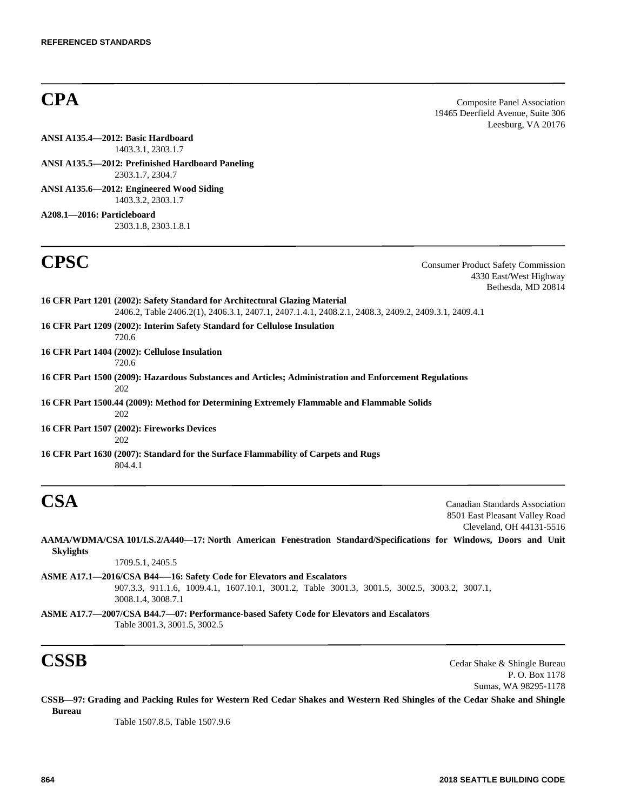**CPA** Composite Panel Association 19465 Deerfield Avenue, Suite 306 Leesburg, VA 20176

**ANSI A135.4—2012: Basic Hardboard** 1403.3.1, 2303.1.7

**ANSI A135.5—2012: Prefinished Hardboard Paneling** 2303.1.7, 2304.7

**ANSI A135.6—2012: Engineered Wood Siding** 1403.3.2, 2303.1.7

**A208.1—2016: Particleboard** 2303.1.8, 2303.1.8.1

**CPSC** Consumer Product Safety Commission 4330 East/West Highway Bethesda, MD 20814

**16 CFR Part 1201 (2002): Safety Standard for Architectural Glazing Material** 2406.2, Table 2406.2(1), 2406.3.1, 2407.1, 2407.1.4.1, 2408.2.1, 2408.3, 2409.2, 2409.3.1, 2409.4.1 **16 CFR Part 1209 (2002): Interim Safety Standard for Cellulose Insulation** 720.6 **16 CFR Part 1404 (2002): Cellulose Insulation** 720.6 **16 CFR Part 1500 (2009): Hazardous Substances and Articles; Administration and Enforcement Regulations** 202 **16 CFR Part 1500.44 (2009): Method for Determining Extremely Flammable and Flammable Solids** 202 **16 CFR Part 1507 (2002): Fireworks Devices** 202 **16 CFR Part 1630 (2007): Standard for the Surface Flammability of Carpets and Rugs** 804.4.1

**CSA** Canadian Standards Association 8501 East Pleasant Valley Road Cleveland, OH 44131-5516

**AAMA/WDMA/CSA 101/I.S.2/A440—17: North American Fenestration Standard/Specifications for Windows, Doors and Unit Skylights**

1709.5.1, 2405.5

- **ASME A17.1—2016/CSA B44-—16: Safety Code for Elevators and Escalators** 907.3.3, 911.1.6, 1009.4.1, 1607.10.1, 3001.2, Table 3001.3, 3001.5, 3002.5, 3003.2, 3007.1, 3008.1.4, 3008.7.1
- **ASME A17.7—2007/CSA B44.7—07: Performance-based Safety Code for Elevators and Escalators** Table 3001.3, 3001.5, 3002.5

**CSSB** Cedar Shake & Shingle Bureau P. O. Box 1178 Sumas, WA 98295-1178

**CSSB—97: Grading and Packing Rules for Western Red Cedar Shakes and Western Red Shingles of the Cedar Shake and Shingle Bureau**

Table 1507.8.5, Table 1507.9.6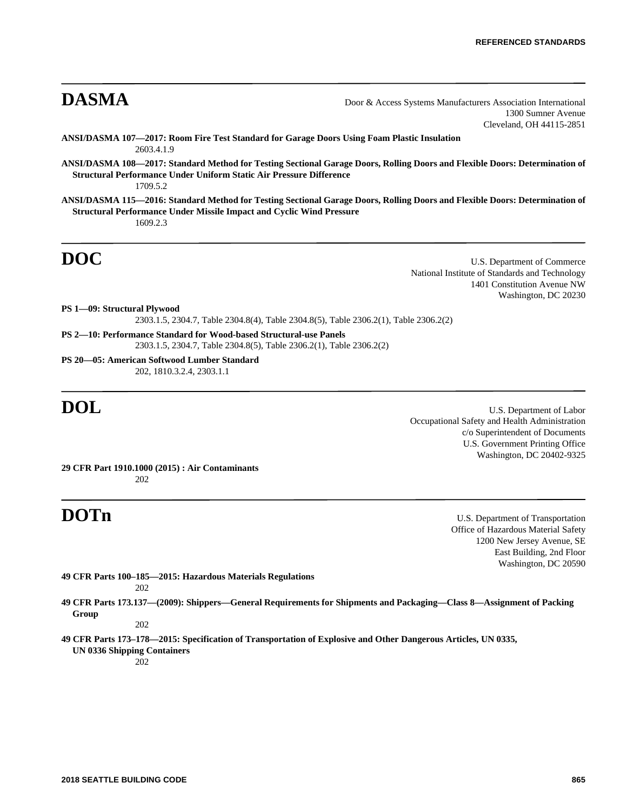**DASMA** Door & Access Systems Manufacturers Association International 1300 Sumner Avenue Cleveland, OH 44115-2851

- **ANSI/DASMA 107—2017: Room Fire Test Standard for Garage Doors Using Foam Plastic Insulation** 2603.4.1.9
- **ANSI/DASMA 108—2017: Standard Method for Testing Sectional Garage Doors, Rolling Doors and Flexible Doors: Determination of Structural Performance Under Uniform Static Air Pressure Difference** 1709.5.2
- **ANSI/DASMA 115—2016: Standard Method for Testing Sectional Garage Doors, Rolling Doors and Flexible Doors: Determination of Structural Performance Under Missile Impact and Cyclic Wind Pressure** 1609.2.3

**DOC** U.S. Department of Commerce National Institute of Standards and Technology 1401 Constitution Avenue NW Washington, DC 20230

**PS 1—09: Structural Plywood** 2303.1.5, 2304.7, Table 2304.8(4), Table 2304.8(5), Table 2306.2(1), Table 2306.2(2)

**PS 2—10: Performance Standard for Wood-based Structural-use Panels** 2303.1.5, 2304.7, Table 2304.8(5), Table 2306.2(1), Table 2306.2(2)

**PS 20—05: American Softwood Lumber Standard** 202, 1810.3.2.4, 2303.1.1

**DOL** U.S. Department of Labor Occupational Safety and Health Administration c/o Superintendent of Documents U.S. Government Printing Office Washington, DC 20402-9325

**29 CFR Part 1910.1000 (2015) : Air Contaminants** 202

**DOTn** U.S. Department of Transportation Office of Hazardous Material Safety 1200 New Jersey Avenue, SE East Building, 2nd Floor Washington, DC 20590

**49 CFR Parts 100–185—2015: Hazardous Materials Regulations** 202

**49 CFR Parts 173.137—(2009): Shippers—General Requirements for Shipments and Packaging—Class 8—Assignment of Packing Group**

202

**49 CFR Parts 173–178—2015: Specification of Transportation of Explosive and Other Dangerous Articles, UN 0335, UN 0336 Shipping Containers**

202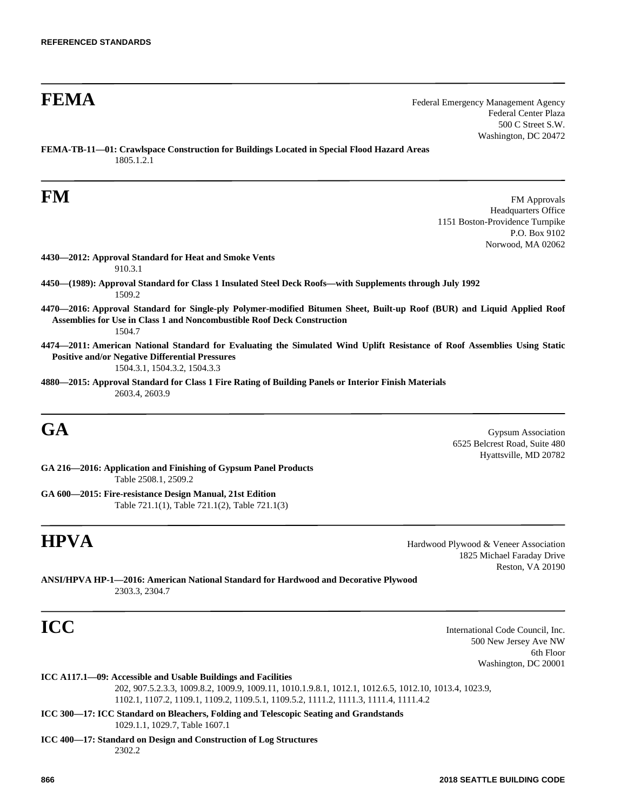**FEMA** Federal Emergency Management Agency Federal Center Plaza 500 C Street S.W. Washington, DC 20472

**FEMA-TB-11—01: Crawlspace Construction for Buildings Located in Special Flood Hazard Areas** 1805.1.2.1

**FM** FM Approvals Headquarters Office 1151 Boston-Providence Turnpike P.O. Box 9102 Norwood, MA 02062

- **4430—2012: Approval Standard for Heat and Smoke Vents** 910.3.1
- **4450—(1989): Approval Standard for Class 1 Insulated Steel Deck Roofs—with Supplements through July 1992** 1509.2
- **4470—2016: Approval Standard for Single-ply Polymer-modified Bitumen Sheet, Built-up Roof (BUR) and Liquid Applied Roof Assemblies for Use in Class 1 and Noncombustible Roof Deck Construction** 1504.7
- **4474—2011: American National Standard for Evaluating the Simulated Wind Uplift Resistance of Roof Assemblies Using Static Positive and/or Negative Differential Pressures**

1504.3.1, 1504.3.2, 1504.3.3

**4880—2015: Approval Standard for Class 1 Fire Rating of Building Panels or Interior Finish Materials** 2603.4, 2603.9

**GA** Gypsum Association 6525 Belcrest Road, Suite 480 Hyattsville, MD 20782

**GA 216—2016: Application and Finishing of Gypsum Panel Products** Table 2508.1, 2509.2

**GA 600—2015: Fire-resistance Design Manual, 21st Edition** Table 721.1(1), Table 721.1(2), Table 721.1(3)

**HPVA** Hardwood Plywood & Veneer Association 1825 Michael Faraday Drive Reston, VA 20190

**ANSI/HPVA HP-1—2016: American National Standard for Hardwood and Decorative Plywood** 2303.3, 2304.7

**ICC** International Code Council, Inc. 500 New Jersey Ave NW 6th Floor Washington, DC 20001

**ICC A117.1—09: Accessible and Usable Buildings and Facilities**

202, 907.5.2.3.3, 1009.8.2, 1009.9, 1009.11, 1010.1.9.8.1, 1012.1, 1012.6.5, 1012.10, 1013.4, 1023.9, 1102.1, 1107.2, 1109.1, 1109.2, 1109.5.1, 1109.5.2, 1111.2, 1111.3, 1111.4, 1111.4.2

**ICC 300—17: ICC Standard on Bleachers, Folding and Telescopic Seating and Grandstands** 1029.1.1, 1029.7, Table 1607.1

**ICC 400—17: Standard on Design and Construction of Log Structures** 2302.2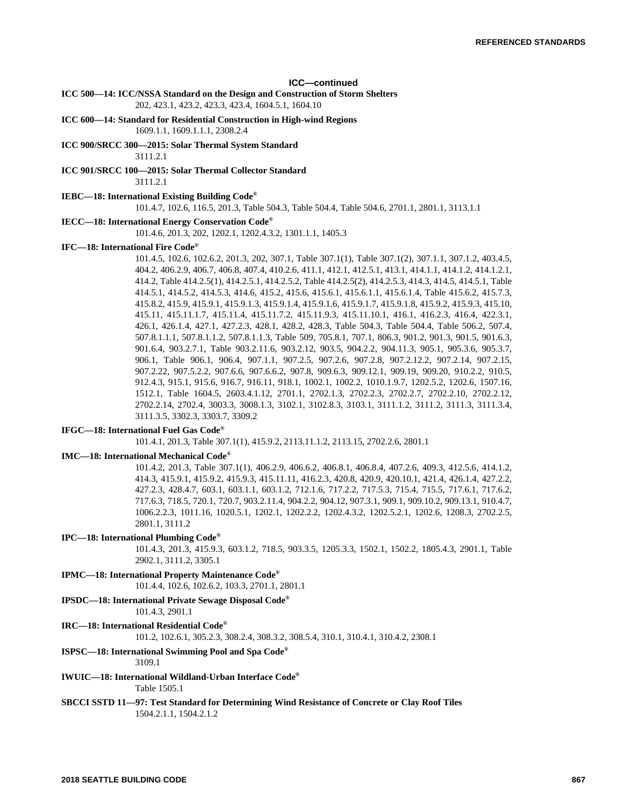### **ICC—continued**

**ICC 500—14: ICC/NSSA Standard on the Design and Construction of Storm Shelters** 202, 423.1, 423.2, 423.3, 423.4, 1604.5.1, 1604.10

**ICC 600—14: Standard for Residential Construction in High-wind Regions**

1609.1.1, 1609.1.1.1, 2308.2.4

**ICC 900/SRCC 300—2015: Solar Thermal System Standard** 3111.2.1

**ICC 901/SRCC 100—2015: Solar Thermal Collector Standard** 3111.2.1

**IEBC—18: International Existing Building Code®**

101.4.7, 102.6, 116.5, 201.3, Table 504.3, Table 504.4, Table 504.6, 2701.1, 2801.1, 3113.1.1

## **IECC—18: International Energy Conservation Code®**

101.4.6, 201.3, 202, 1202.1, 1202.4.3.2, 1301.1.1, 1405.3

### **IFC—18: International Fire Code®**

101.4.5, 102.6, 102.6.2, 201.3, 202, 307.1, Table 307.1(1), Table 307.1(2), 307.1.1, 307.1.2, 403.4.5, 404.2, 406.2.9, 406.7, 406.8, 407.4, 410.2.6, 411.1, 412.1, 412.5.1, 413.1, 414.1.1, 414.1.2, 414.1.2.1, 414.2, Table 414.2.5(1), 414.2.5.1, 414.2.5.2, Table 414.2.5(2), 414.2.5.3, 414.3, 414.5, 414.5.1, Table 414.5.1, 414.5.2, 414.5.3, 414.6, 415.2, 415.6, 415.6.1, 415.6.1.1, 415.6.1.4, Table 415.6.2, 415.7.3, 415.8.2, 415.9, 415.9.1, 415.9.1.3, 415.9.1.4, 415.9.1.6, 415.9.1.7, 415.9.1.8, 415.9.2, 415.9.3, 415.10, 415.11, 415.11.1.7, 415.11.4, 415.11.7.2, 415.11.9.3, 415.11.10.1, 416.1, 416.2.3, 416.4, 422.3.1, 426.1, 426.1.4, 427.1, 427.2.3, 428.1, 428.2, 428.3, Table 504.3, Table 504.4, Table 506.2, 507.4, 507.8.1.1.1, 507.8.1.1.2, 507.8.1.1.3, Table 509, 705.8.1, 707.1, 806.3, 901.2, 901.3, 901.5, 901.6.3, 901.6.4, 903.2.7.1, Table 903.2.11.6, 903.2.12, 903.5, 904.2.2, 904.11.3, 905.1, 905.3.6, 905.3.7, 906.1, Table 906.1, 906.4, 907.1.1, 907.2.5, 907.2.6, 907.2.8, 907.2.12.2, 907.2.14, 907.2.15, 907.2.22, 907.5.2.2, 907.6.6, 907.6.6.2, 907.8, 909.6.3, 909.12.1, 909.19, 909.20, 910.2.2, 910.5, 912.4.3, 915.1, 915.6, 916.7, 916.11, 918.1, 1002.1, 1002.2, 1010.1.9.7, 1202.5.2, 1202.6, 1507.16, 1512.1, Table 1604.5, 2603.4.1.12, 2701.1, 2702.1.3, 2702.2.3, 2702.2.7, 2702.2.10, 2702.2.12, 2702.2.14, 2702.4, 3003.3, 3008.1.3, 3102.1, 3102.8.3, 3103.1, 3111.1.2, 3111.2, 3111.3, 3111.3.4, 3111.3.5, 3302.3, 3303.7, 3309.2

### **IFGC—18: International Fuel Gas Code®**

101.4.1, 201.3, Table 307.1(1), 415.9.2, 2113.11.1.2, 2113.15, 2702.2.6, 2801.1

## **IMC—18: International Mechanical Code®**

101.4.2, 201.3, Table 307.1(1), 406.2.9, 406.6.2, 406.8.1, 406.8.4, 407.2.6, 409.3, 412.5.6, 414.1.2, 414.3, 415.9.1, 415.9.2, 415.9.3, 415.11.11, 416.2.3, 420.8, 420.9, 420.10.1, 421.4, 426.1.4, 427.2.2, 427.2.3, 428.4.7, 603.1, 603.1.1, 603.1.2, 712.1.6, 717.2.2, 717.5.3, 715.4, 715.5, 717.6.1, 717.6.2, 717.6.3, 718.5, 720.1, 720.7, 903.2.11.4, 904.2.2, 904.12, 907.3.1, 909.1, 909.10.2, 909.13.1, 910.4.7, 1006.2.2.3, 1011.16, 1020.5.1, 1202.1, 1202.2.2, 1202.4.3.2, 1202.5.2.1, 1202.6, 1208.3, 2702.2.5, 2801.1, 3111.2

**IPC—18: International Plumbing Code®**

101.4.3, 201.3, 415.9.3, 603.1.2, 718.5, 903.3.5, 1205.3.3, 1502.1, 1502.2, 1805.4.3, 2901.1, Table 2902.1, 3111.2, 3305.1

**IPMC—18: International Property Maintenance Code®**

101.4.4, 102.6, 102.6.2, 103.3, 2701.1, 2801.1

# **IPSDC—18: International Private Sewage Disposal Code®**

101.4.3, 2901.1

## **IRC—18: International Residential Code®**

101.2, 102.6.1, 305.2.3, 308.2.4, 308.3.2, 308.5.4, 310.1, 310.4.1, 310.4.2, 2308.1

# **ISPSC—18: International Swimming Pool and Spa Code®**

3109.1

**IWUIC—18: International Wildland-Urban Interface Code®** Table 1505.1

**SBCCI SSTD 11—97: Test Standard for Determining Wind Resistance of Concrete or Clay Roof Tiles** 1504.2.1.1, 1504.2.1.2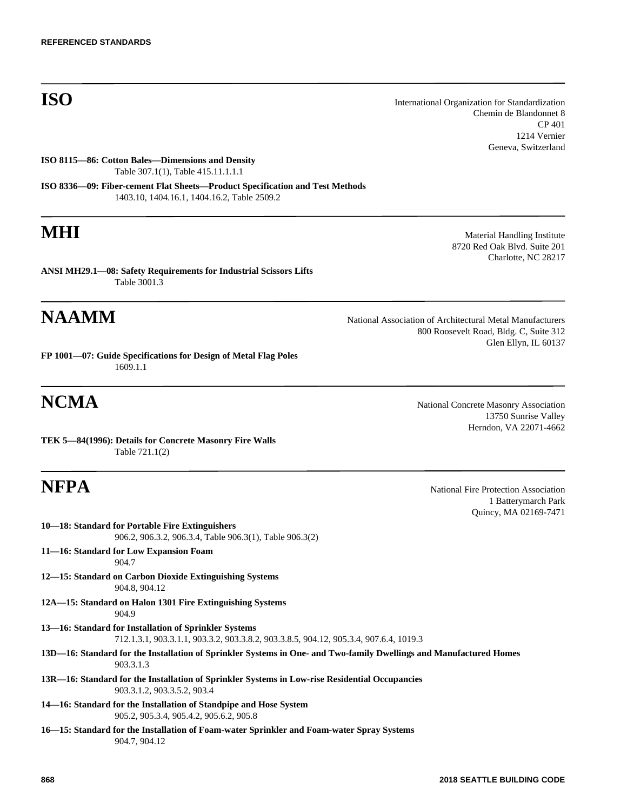**ISO** International Organization for Standardization Chemin de Blandonnet 8 CP 401 1214 Vernier Geneva, Switzerland

**ISO 8115—86: Cotton Bales—Dimensions and Density** Table 307.1(1), Table 415.11.1.1.1

**ISO 8336—09: Fiber-cement Flat Sheets—Product Specification and Test Methods** 1403.10, 1404.16.1, 1404.16.2, Table 2509.2

**ANSI MH29.1—08: Safety Requirements for Industrial Scissors Lifts** Table 3001.3

# **NAAMM** National Association of Architectural Metal Manufacturers

**FP 1001—07: Guide Specifications for Design of Metal Flag Poles** 1609.1.1

**TEK 5—84(1996): Details for Concrete Masonry Fire Walls** Table 721.1(2)

**10—18: Standard for Portable Fire Extinguishers** 906.2, 906.3.2, 906.3.4, Table 906.3(1), Table 906.3(2) **11—16: Standard for Low Expansion Foam** 904.7 **12—15: Standard on Carbon Dioxide Extinguishing Systems** 904.8, 904.12 **12A—15: Standard on Halon 1301 Fire Extinguishing Systems** 904.9 **13—16: Standard for Installation of Sprinkler Systems** 712.1.3.1, 903.3.1.1, 903.3.2, 903.3.8.2, 903.3.8.5, 904.12, 905.3.4, 907.6.4, 1019.3 **13D—16: Standard for the Installation of Sprinkler Systems in One- and Two-family Dwellings and Manufactured Homes** 903.3.1.3 **13R—16: Standard for the Installation of Sprinkler Systems in Low-rise Residential Occupancies** 903.3.1.2, 903.3.5.2, 903.4 **14—16: Standard for the Installation of Standpipe and Hose System** 905.2, 905.3.4, 905.4.2, 905.6.2, 905.8 **16—15: Standard for the Installation of Foam-water Sprinkler and Foam-water Spray Systems** 904.7, 904.12

**MHI** Material Handling Institute 8720 Red Oak Blvd. Suite 201 Charlotte, NC 28217

> 800 Roosevelt Road, Bldg. C, Suite 312 Glen Ellyn, IL 60137

**NCMA** National Concrete Masonry Association 13750 Sunrise Valley Herndon, VA 22071-4662

**NFPA** National Fire Protection Association 1 Batterymarch Park Quincy, MA 02169-7471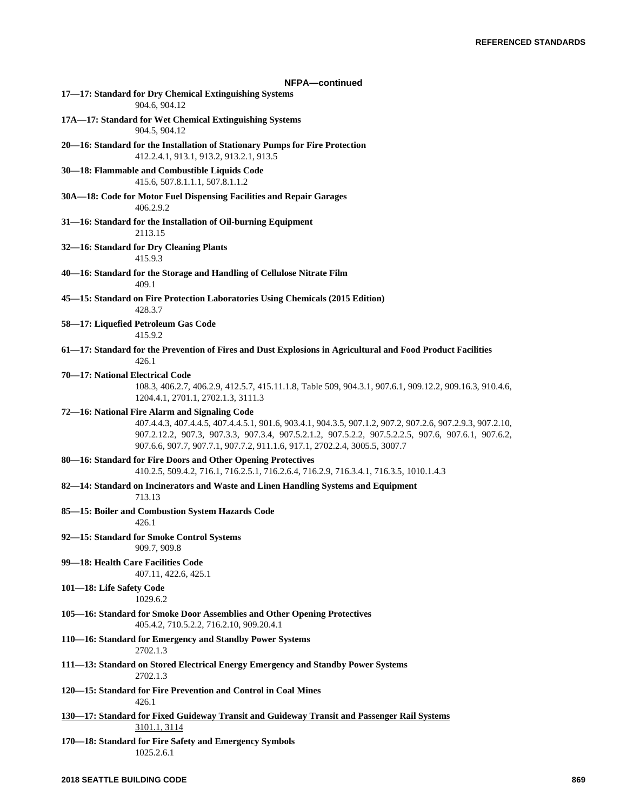| NFPA-continued                                                                                                                                                                                                                                                                                                                                 |
|------------------------------------------------------------------------------------------------------------------------------------------------------------------------------------------------------------------------------------------------------------------------------------------------------------------------------------------------|
| 17-17: Standard for Dry Chemical Extinguishing Systems<br>904.6, 904.12                                                                                                                                                                                                                                                                        |
| 17A-17: Standard for Wet Chemical Extinguishing Systems<br>904.5, 904.12                                                                                                                                                                                                                                                                       |
| 20—16: Standard for the Installation of Stationary Pumps for Fire Protection<br>412.2.4.1, 913.1, 913.2, 913.2.1, 913.5                                                                                                                                                                                                                        |
| 30-18: Flammable and Combustible Liquids Code<br>415.6, 507.8.1.1.1, 507.8.1.1.2                                                                                                                                                                                                                                                               |
| 30A-18: Code for Motor Fuel Dispensing Facilities and Repair Garages<br>406.2.9.2                                                                                                                                                                                                                                                              |
| 31-16: Standard for the Installation of Oil-burning Equipment<br>2113.15                                                                                                                                                                                                                                                                       |
| 32-16: Standard for Dry Cleaning Plants<br>415.9.3                                                                                                                                                                                                                                                                                             |
| 40-16: Standard for the Storage and Handling of Cellulose Nitrate Film<br>409.1                                                                                                                                                                                                                                                                |
| 45-15: Standard on Fire Protection Laboratories Using Chemicals (2015 Edition)<br>428.3.7                                                                                                                                                                                                                                                      |
| 58-17: Liquefied Petroleum Gas Code<br>415.9.2                                                                                                                                                                                                                                                                                                 |
| 61-17: Standard for the Prevention of Fires and Dust Explosions in Agricultural and Food Product Facilities<br>426.1                                                                                                                                                                                                                           |
| 70-17: National Electrical Code<br>108.3, 406.2.7, 406.2.9, 412.5.7, 415.11.1.8, Table 509, 904.3.1, 907.6.1, 909.12.2, 909.16.3, 910.4.6,<br>1204.4.1, 2701.1, 2702.1.3, 3111.3                                                                                                                                                               |
| 72-16: National Fire Alarm and Signaling Code<br>407.4.4.3, 407.4.4.5, 407.4.4.5.1, 901.6, 903.4.1, 904.3.5, 907.1.2, 907.2, 907.2.6, 907.2.9.3, 907.2.10,<br>907.2.12.2, 907.3, 907.3.3, 907.3.4, 907.5.2.1.2, 907.5.2.2, 907.5.2.2.5, 907.6, 907.6.1, 907.6.2,<br>907.6.6, 907.7, 907.7.1, 907.7.2, 911.1.6, 917.1, 2702.2.4, 3005.5, 3007.7 |
| 80-16: Standard for Fire Doors and Other Opening Protectives<br>410.2.5, 509.4.2, 716.1, 716.2.5.1, 716.2.6.4, 716.2.9, 716.3.4.1, 716.3.5, 1010.1.4.3                                                                                                                                                                                         |
| 82-14: Standard on Incinerators and Waste and Linen Handling Systems and Equipment<br>713.13                                                                                                                                                                                                                                                   |
| 85-15: Boiler and Combustion System Hazards Code<br>426.1                                                                                                                                                                                                                                                                                      |
| 92-15: Standard for Smoke Control Systems<br>909.7, 909.8                                                                                                                                                                                                                                                                                      |
| 99-18: Health Care Facilities Code<br>407.11, 422.6, 425.1                                                                                                                                                                                                                                                                                     |
| 101-18: Life Safety Code<br>1029.6.2                                                                                                                                                                                                                                                                                                           |
| 105-16: Standard for Smoke Door Assemblies and Other Opening Protectives<br>405.4.2, 710.5.2.2, 716.2.10, 909.20.4.1                                                                                                                                                                                                                           |
| 110-16: Standard for Emergency and Standby Power Systems<br>2702.1.3                                                                                                                                                                                                                                                                           |
| 111-13: Standard on Stored Electrical Energy Emergency and Standby Power Systems<br>2702.1.3                                                                                                                                                                                                                                                   |
| 120-15: Standard for Fire Prevention and Control in Coal Mines<br>426.1                                                                                                                                                                                                                                                                        |
| 130—17: Standard for Fixed Guideway Transit and Guideway Transit and Passenger Rail Systems<br>3101.1, 3114                                                                                                                                                                                                                                    |
| 170-18: Standard for Fire Safety and Emergency Symbols<br>1025.2.6.1                                                                                                                                                                                                                                                                           |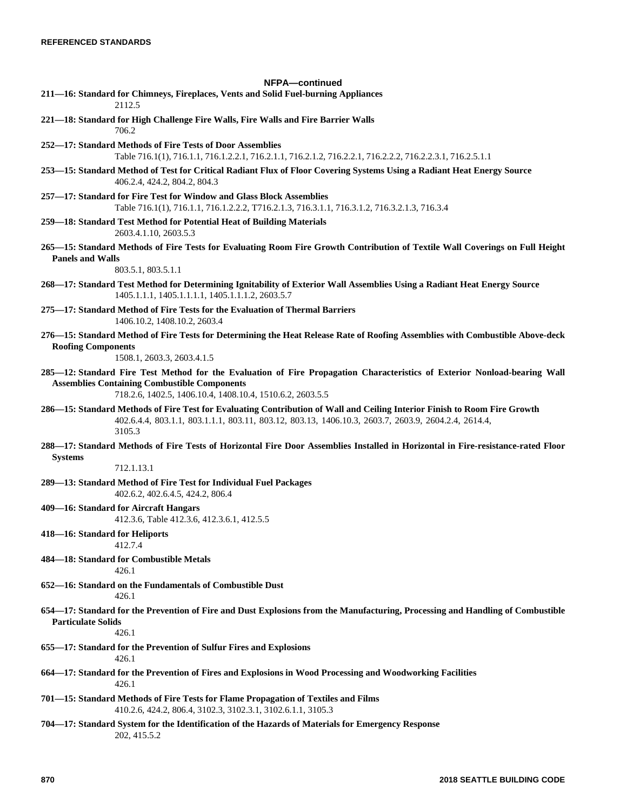# **NFPA—continued 211—16: Standard for Chimneys, Fireplaces, Vents and Solid Fuel-burning Appliances** 2112.5 **221—18: Standard for High Challenge Fire Walls, Fire Walls and Fire Barrier Walls** 706.2 **252—17: Standard Methods of Fire Tests of Door Assemblies** Table 716.1(1), 716.1.1, 716.1.2.2.1, 716.2.1.1, 716.2.1.2, 716.2.2.1, 716.2.2.2, 716.2.2.3.1, 716.2.5.1.1 **253—15: Standard Method of Test for Critical Radiant Flux of Floor Covering Systems Using a Radiant Heat Energy Source** 406.2.4, 424.2, 804.2, 804.3 **257—17: Standard for Fire Test for Window and Glass Block Assemblies** Table 716.1(1), 716.1.1, 716.1.2.2.2, T716.2.1.3, 716.3.1.1, 716.3.1.2, 716.3.2.1.3, 716.3.4 **259—18: Standard Test Method for Potential Heat of Building Materials** 2603.4.1.10, 2603.5.3 **265—15: Standard Methods of Fire Tests for Evaluating Room Fire Growth Contribution of Textile Wall Coverings on Full Height Panels and Walls** 803.5.1, 803.5.1.1 **268—17: Standard Test Method for Determining Ignitability of Exterior Wall Assemblies Using a Radiant Heat Energy Source** 1405.1.1.1, 1405.1.1.1.1, 1405.1.1.1.2, 2603.5.7 **275—17: Standard Method of Fire Tests for the Evaluation of Thermal Barriers** 1406.10.2, 1408.10.2, 2603.4 **276—15: Standard Method of Fire Tests for Determining the Heat Release Rate of Roofing Assemblies with Combustible Above-deck Roofing Components** 1508.1, 2603.3, 2603.4.1.5 **285—12: Standard Fire Test Method for the Evaluation of Fire Propagation Characteristics of Exterior Nonload-bearing Wall Assemblies Containing Combustible Components** 718.2.6, 1402.5, 1406.10.4, 1408.10.4, 1510.6.2, 2603.5.5 **286—15: Standard Methods of Fire Test for Evaluating Contribution of Wall and Ceiling Interior Finish to Room Fire Growth** 402.6.4.4, 803.1.1, 803.1.1.1, 803.11, 803.12, 803.13, 1406.10.3, 2603.7, 2603.9, 2604.2.4, 2614.4, 3105.3 **288—17: Standard Methods of Fire Tests of Horizontal Fire Door Assemblies Installed in Horizontal in Fire-resistance-rated Floor Systems** 712.1.13.1 **289—13: Standard Method of Fire Test for Individual Fuel Packages** 402.6.2, 402.6.4.5, 424.2, 806.4 **409—16: Standard for Aircraft Hangars** 412.3.6, Table 412.3.6, 412.3.6.1, 412.5.5 **418—16: Standard for Heliports** 412.7.4 **484—18: Standard for Combustible Metals** 426.1 **652—16: Standard on the Fundamentals of Combustible Dust** 426.1 **654—17: Standard for the Prevention of Fire and Dust Explosions from the Manufacturing, Processing and Handling of Combustible Particulate Solids** 426.1 **655—17: Standard for the Prevention of Sulfur Fires and Explosions** 426.1 **664—17: Standard for the Prevention of Fires and Explosions in Wood Processing and Woodworking Facilities** 426.1 **701—15: Standard Methods of Fire Tests for Flame Propagation of Textiles and Films** 410.2.6, 424.2, 806.4, 3102.3, 3102.3.1, 3102.6.1.1, 3105.3

**704—17: Standard System for the Identification of the Hazards of Materials for Emergency Response** 202, 415.5.2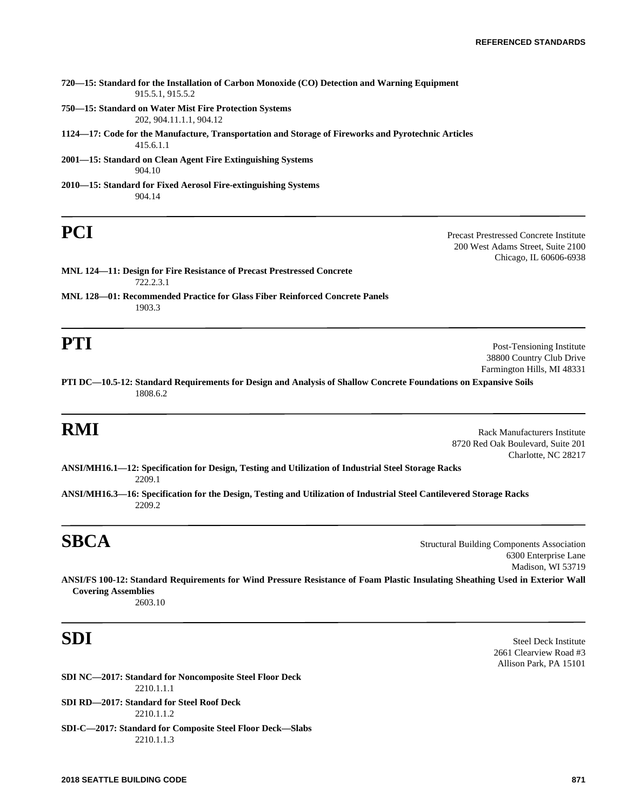| 720—15: Standard for the Installation of Carbon Monoxide (CO) Detection and Warning Equipment<br>915.5.1, 915.5.2 |
|-------------------------------------------------------------------------------------------------------------------|
| 750—15: Standard on Water Mist Fire Protection Systems<br>202, 904, 11, 1.1, 904, 12                              |
| 1124—17: Code for the Manufacture, Transportation and Storage of Fireworks and Pyrotechnic Articles               |
| 415.6.1.1                                                                                                         |
| 2001—15: Standard on Clean Agent Fire Extinguishing Systems<br>904.10                                             |
| 2010—15: Standard for Fixed Aerosol Fire-extinguishing Systems<br>904.14                                          |

**PCI** Precast Prestressed Concrete Institute 200 West Adams Street, Suite 2100 Chicago, IL 60606-6938

**MNL 124—11: Design for Fire Resistance of Precast Prestressed Concrete** 722.2.3.1

**MNL 128—01: Recommended Practice for Glass Fiber Reinforced Concrete Panels** 1903.3

**PTI** Post-Tensioning Institute 38800 Country Club Drive Farmington Hills, MI 48331

**PTI DC—10.5-12: Standard Requirements for Design and Analysis of Shallow Concrete Foundations on Expansive Soils** 1808.6.2

**RMI** Rack Manufacturers Institute 8720 Red Oak Boulevard, Suite 201 Charlotte, NC 28217

**ANSI/MH16.1—12: Specification for Design, Testing and Utilization of Industrial Steel Storage Racks** 2209.1

**ANSI/MH16.3—16: Specification for the Design, Testing and Utilization of Industrial Steel Cantilevered Storage Racks** 2209.2

**SBCA** Structural Building Components Association 6300 Enterprise Lane Madison, WI 53719

**ANSI/FS 100-12: Standard Requirements for Wind Pressure Resistance of Foam Plastic Insulating Sheathing Used in Exterior Wall Covering Assemblies** 2603.10

**SDI NC—2017: Standard for Noncomposite Steel Floor Deck** 2210.1.1.1 **SDI RD—2017: Standard for Steel Roof Deck** 2210.1.1.2

**SDI-C—2017: Standard for Composite Steel Floor Deck—Slabs** 2210.1.1.3

**SDI** Steel Deck Institute 2661 Clearview Road #3 Allison Park, PA 15101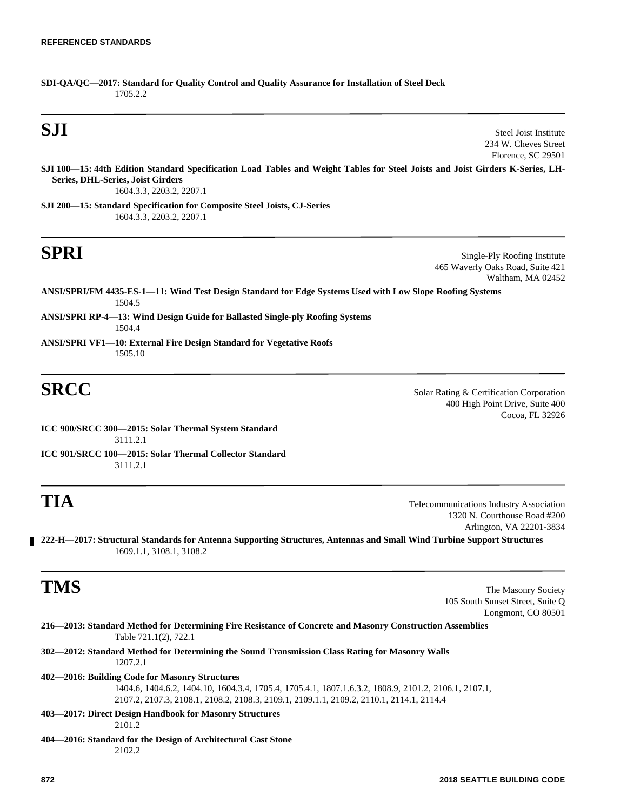**SDI-QA/QC—2017: Standard for Quality Control and Quality Assurance for Installation of Steel Deck** 1705.2.2

**SJI** Steel Joist Institute 234 W. Cheves Street Florence, SC 29501

**SJI 100—15: 44th Edition Standard Specification Load Tables and Weight Tables for Steel Joists and Joist Girders K-Series, LH-Series, DHL-Series, Joist Girders** 1604.3.3, 2203.2, 2207.1

**SJI 200—15: Standard Specification for Composite Steel Joists, CJ-Series** 1604.3.3, 2203.2, 2207.1

**SPRI** Single-Ply Roofing Institute 465 Waverly Oaks Road, Suite 421 Waltham, MA 02452

**ANSI/SPRI/FM 4435-ES-1—11: Wind Test Design Standard for Edge Systems Used with Low Slope Roofing Systems** 1504.5

- **ANSI/SPRI RP-4—13: Wind Design Guide for Ballasted Single-ply Roofing Systems** 1504.4
- **ANSI/SPRI VF1—10: External Fire Design Standard for Vegetative Roofs** 1505.10

**SRCC** Solar Rating & Certification Corporation 400 High Point Drive, Suite 400 Cocoa, FL 32926

**ICC 900/SRCC 300—2015: Solar Thermal System Standard** 3111.2.1

**ICC 901/SRCC 100—2015: Solar Thermal Collector Standard** 3111.2.1

**TIA** Telecommunications Industry Association 1320 N. Courthouse Road #200 Arlington, VA 22201-3834

**222-H—2017: Structural Standards for Antenna Supporting Structures, Antennas and Small Wind Turbine Support Structures** 1609.1.1, 3108.1, 3108.2

**TMS** The Masonry Society 105 South Sunset Street, Suite Q Longmont, CO 80501

|                       | 216—2013: Standard Method for Determining Fire Resistance of Concrete and Masonry Construction Assemblies |
|-----------------------|-----------------------------------------------------------------------------------------------------------|
| Table 721.1(2), 722.1 |                                                                                                           |

**302—2012: Standard Method for Determining the Sound Transmission Class Rating for Masonry Walls** 1207.2.1

### **402—2016: Building Code for Masonry Structures**

1404.6, 1404.6.2, 1404.10, 1604.3.4, 1705.4, 1705.4.1, 1807.1.6.3.2, 1808.9, 2101.2, 2106.1, 2107.1, 2107.2, 2107.3, 2108.1, 2108.2, 2108.3, 2109.1, 2109.1.1, 2109.2, 2110.1, 2114.1, 2114.4

# **403—2017: Direct Design Handbook for Masonry Structures**

2101.2

**404—2016: Standard for the Design of Architectural Cast Stone** 2102.2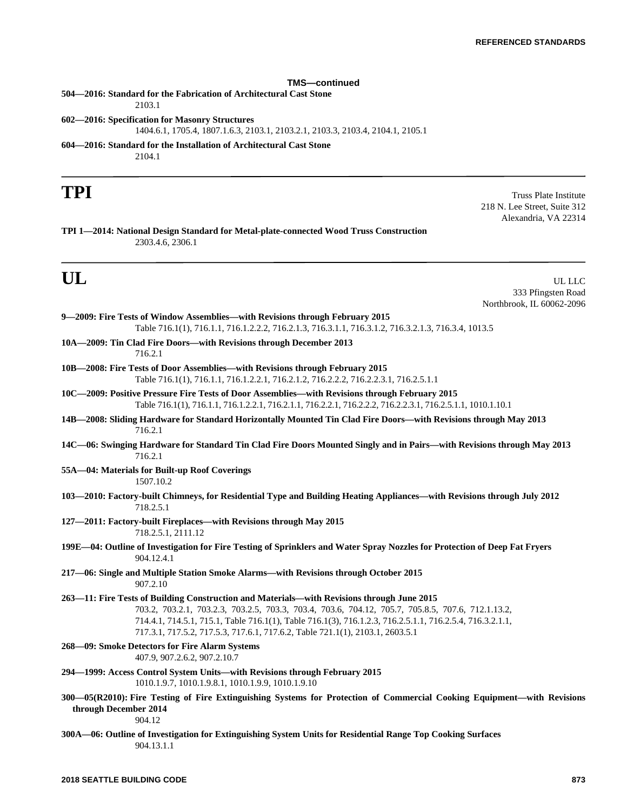# **TMS—continued**

**504—2016: Standard for the Fabrication of Architectural Cast Stone** 2103.1 **602—2016: Specification for Masonry Structures** 1404.6.1, 1705.4, 1807.1.6.3, 2103.1, 2103.2.1, 2103.3, 2103.4, 2104.1, 2105.1 **604—2016: Standard for the Installation of Architectural Cast Stone** 2104.1

**TPI** Truss Plate Institute 218 N. Lee Street, Suite 312 Alexandria, VA 22314

**TPI 1—2014: National Design Standard for Metal-plate-connected Wood Truss Construction** 2303.4.6, 2306.1

**UL** UL LLC 333 Pfingsten Road Northbrook, IL 60062-2096

| 9—2009: Fire Tests of Window Assemblies—with Revisions through February 2015<br>Table 716.1(1), 716.1.1, 716.1.2.2.2, 716.2.1.3, 716.3.1.1, 716.3.1.2, 716.3.2.1.3, 716.3.4, 1013.5                                                                                                                                                                                                          |
|----------------------------------------------------------------------------------------------------------------------------------------------------------------------------------------------------------------------------------------------------------------------------------------------------------------------------------------------------------------------------------------------|
| 10A-2009: Tin Clad Fire Doors-with Revisions through December 2013<br>716.2.1                                                                                                                                                                                                                                                                                                                |
| 10B—2008: Fire Tests of Door Assemblies—with Revisions through February 2015<br>Table 716.1(1), 716.1.1, 716.1.2.2.1, 716.2.1.2, 716.2.2.2, 716.2.2.3.1, 716.2.5.1.1                                                                                                                                                                                                                         |
| 10C-2009: Positive Pressure Fire Tests of Door Assemblies-with Revisions through February 2015<br>Table 716.1(1), 716.1.1, 716.1.2.2.1, 716.2.1.1, 716.2.2.1, 716.2.2.2, 716.2.2.3.1, 716.2.5.1.1, 1010.1.10.1                                                                                                                                                                               |
| 14B-2008: Sliding Hardware for Standard Horizontally Mounted Tin Clad Fire Doors-with Revisions through May 2013<br>716.2.1                                                                                                                                                                                                                                                                  |
| 14C—06: Swinging Hardware for Standard Tin Clad Fire Doors Mounted Singly and in Pairs—with Revisions through May 2013<br>716.2.1                                                                                                                                                                                                                                                            |
| 55A—04: Materials for Built-up Roof Coverings<br>1507.10.2                                                                                                                                                                                                                                                                                                                                   |
| 103-2010: Factory-built Chimneys, for Residential Type and Building Heating Appliances-with Revisions through July 2012<br>718.2.5.1                                                                                                                                                                                                                                                         |
| 127-2011: Factory-built Fireplaces-with Revisions through May 2015<br>718.2.5.1, 2111.12                                                                                                                                                                                                                                                                                                     |
| 199E-04: Outline of Investigation for Fire Testing of Sprinklers and Water Spray Nozzles for Protection of Deep Fat Fryers<br>904.12.4.1                                                                                                                                                                                                                                                     |
| 217-06: Single and Multiple Station Smoke Alarms-with Revisions through October 2015<br>907.2.10                                                                                                                                                                                                                                                                                             |
| 263-11: Fire Tests of Building Construction and Materials-with Revisions through June 2015<br>703.2, 703.2.1, 703.2.3, 703.2.5, 703.3, 703.4, 703.6, 704.12, 705.7, 705.8.5, 707.6, 712.1.13.2,<br>714.4.1, 714.5.1, 715.1, Table 716.1(1), Table 716.1(3), 716.1.2.3, 716.2.5.1.1, 716.2.5.4, 716.3.2.1.1,<br>717.3.1, 717.5.2, 717.5.3, 717.6.1, 717.6.2, Table 721.1(1), 2103.1, 2603.5.1 |
| 268-09: Smoke Detectors for Fire Alarm Systems<br>407.9, 907.2.6.2, 907.2.10.7                                                                                                                                                                                                                                                                                                               |
| 294—1999: Access Control System Units—with Revisions through February 2015<br>1010.1.9.7, 1010.1.9.8.1, 1010.1.9.9, 1010.1.9.10                                                                                                                                                                                                                                                              |
| 300-05(R2010): Fire Testing of Fire Extinguishing Systems for Protection of Commercial Cooking Equipment-with Revisions<br>through December 2014<br>904.12                                                                                                                                                                                                                                   |
| 300A—06: Outline of Investigation for Extinguishing System Units for Residential Range Top Cooking Surfaces<br>904.13.1.1                                                                                                                                                                                                                                                                    |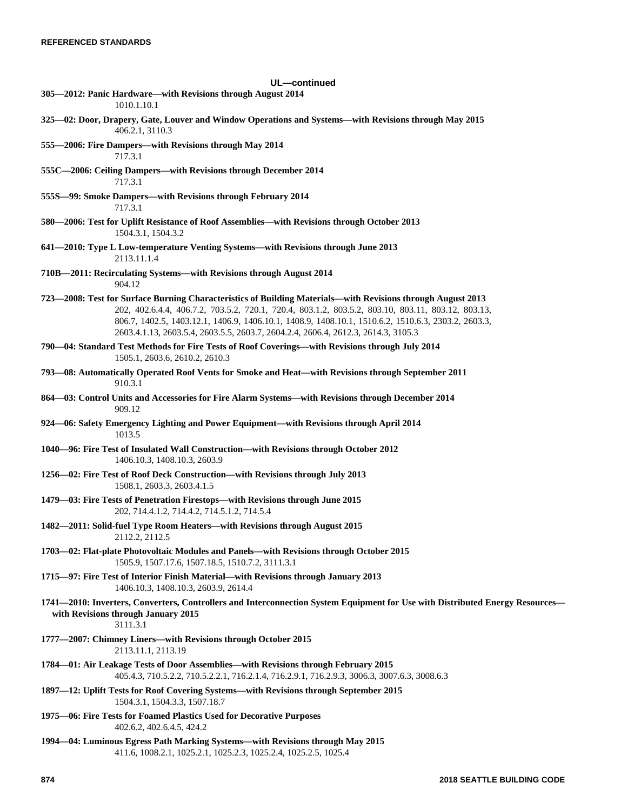| UL-continued                                                                                                                                                                                                                                                                                                                                                                                                 |
|--------------------------------------------------------------------------------------------------------------------------------------------------------------------------------------------------------------------------------------------------------------------------------------------------------------------------------------------------------------------------------------------------------------|
| 305—2012: Panic Hardware—with Revisions through August 2014<br>1010.1.10.1                                                                                                                                                                                                                                                                                                                                   |
| 325-02: Door, Drapery, Gate, Louver and Window Operations and Systems-with Revisions through May 2015<br>406.2.1, 3110.3                                                                                                                                                                                                                                                                                     |
| 555-2006: Fire Dampers-with Revisions through May 2014<br>717.3.1                                                                                                                                                                                                                                                                                                                                            |
| 555C-2006: Ceiling Dampers-with Revisions through December 2014<br>717.3.1                                                                                                                                                                                                                                                                                                                                   |
| 555S-99: Smoke Dampers-with Revisions through February 2014<br>717.3.1                                                                                                                                                                                                                                                                                                                                       |
| 580-2006: Test for Uplift Resistance of Roof Assemblies-with Revisions through October 2013<br>1504.3.1, 1504.3.2                                                                                                                                                                                                                                                                                            |
| 641-2010: Type L Low-temperature Venting Systems-with Revisions through June 2013<br>2113.11.1.4                                                                                                                                                                                                                                                                                                             |
| 710B—2011: Recirculating Systems—with Revisions through August 2014<br>904.12                                                                                                                                                                                                                                                                                                                                |
| 723—2008: Test for Surface Burning Characteristics of Building Materials—with Revisions through August 2013<br>202, 402.6.4.4, 406.7.2, 703.5.2, 720.1, 720.4, 803.1.2, 803.5.2, 803.10, 803.11, 803.12, 803.13,<br>806.7, 1402.5, 1403.12.1, 1406.9, 1406.10.1, 1408.9, 1408.10.1, 1510.6.2, 1510.6.3, 2303.2, 2603.3,<br>2603.4.1.13, 2603.5.4, 2603.5.5, 2603.7, 2604.2.4, 2606.4, 2612.3, 2614.3, 3105.3 |
| 790-04: Standard Test Methods for Fire Tests of Roof Coverings-with Revisions through July 2014<br>1505.1, 2603.6, 2610.2, 2610.3                                                                                                                                                                                                                                                                            |
| 793-08: Automatically Operated Roof Vents for Smoke and Heat-with Revisions through September 2011<br>910.3.1                                                                                                                                                                                                                                                                                                |
| 864—03: Control Units and Accessories for Fire Alarm Systems—with Revisions through December 2014<br>909.12                                                                                                                                                                                                                                                                                                  |
| 924 –06: Safety Emergency Lighting and Power Equipment – with Revisions through April 2014<br>1013.5                                                                                                                                                                                                                                                                                                         |
| 1040-96: Fire Test of Insulated Wall Construction-with Revisions through October 2012<br>1406.10.3, 1408.10.3, 2603.9                                                                                                                                                                                                                                                                                        |
| 1256-02: Fire Test of Roof Deck Construction-with Revisions through July 2013<br>1508.1, 2603.3, 2603.4.1.5                                                                                                                                                                                                                                                                                                  |
| 1479-03: Fire Tests of Penetration Firestops-with Revisions through June 2015<br>202, 714.4.1.2, 714.4.2, 714.5.1.2, 714.5.4                                                                                                                                                                                                                                                                                 |
| 1482-2011: Solid-fuel Type Room Heaters-with Revisions through August 2015<br>2112.2, 2112.5                                                                                                                                                                                                                                                                                                                 |
| 1703-02: Flat-plate Photovoltaic Modules and Panels-with Revisions through October 2015<br>1505.9, 1507.17.6, 1507.18.5, 1510.7.2, 3111.3.1                                                                                                                                                                                                                                                                  |
| 1715-97: Fire Test of Interior Finish Material-with Revisions through January 2013<br>1406.10.3, 1408.10.3, 2603.9, 2614.4                                                                                                                                                                                                                                                                                   |
| 1741—2010: Inverters, Converters, Controllers and Interconnection System Equipment for Use with Distributed Energy Resources—<br>with Revisions through January 2015<br>3111.3.1                                                                                                                                                                                                                             |
| 1777—2007: Chimney Liners—with Revisions through October 2015<br>2113.11.1, 2113.19                                                                                                                                                                                                                                                                                                                          |
| 1784—01: Air Leakage Tests of Door Assemblies—with Revisions through February 2015<br>405.4.3, 710.5.2.2, 710.5.2.2.1, 716.2.1.4, 716.2.9.1, 716.2.9.3, 3006.3, 3007.6.3, 3008.6.3                                                                                                                                                                                                                           |
| 1897—12: Uplift Tests for Roof Covering Systems—with Revisions through September 2015<br>1504.3.1, 1504.3.3, 1507.18.7                                                                                                                                                                                                                                                                                       |
| 1975-06: Fire Tests for Foamed Plastics Used for Decorative Purposes<br>402.6.2, 402.6.4.5, 424.2                                                                                                                                                                                                                                                                                                            |
| 1994—04: Luminous Egress Path Marking Systems—with Revisions through May 2015<br>411.6, 1008.2.1, 1025.2.1, 1025.2.3, 1025.2.4, 1025.2.5, 1025.4                                                                                                                                                                                                                                                             |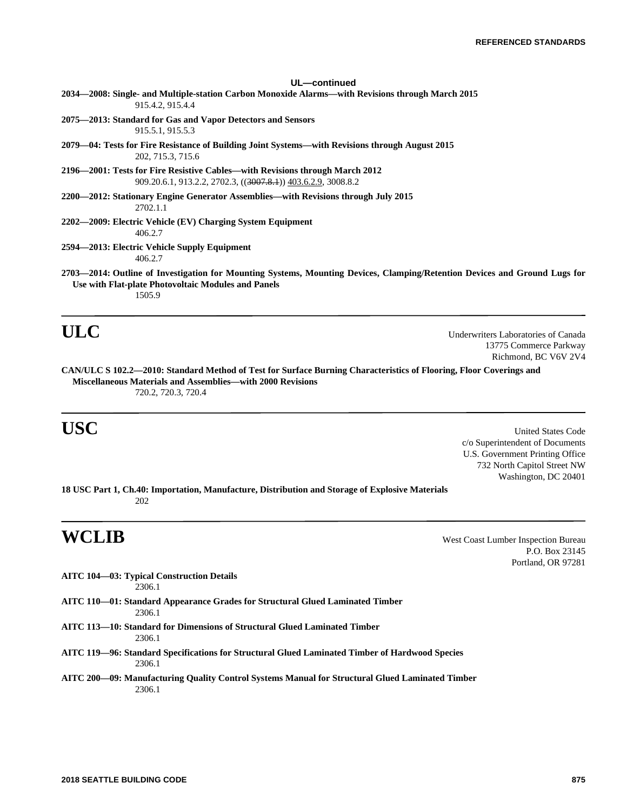| UL-continued                                                                                                                                                                                |
|---------------------------------------------------------------------------------------------------------------------------------------------------------------------------------------------|
| 2034—2008: Single- and Multiple-station Carbon Monoxide Alarms—with Revisions through March 2015<br>915.4.2, 915.4.4                                                                        |
| 2075—2013: Standard for Gas and Vapor Detectors and Sensors<br>915.5.1, 915.5.3                                                                                                             |
| 2079—04: Tests for Fire Resistance of Building Joint Systems—with Revisions through August 2015<br>202, 715.3, 715.6                                                                        |
| 2196—2001: Tests for Fire Resistive Cables—with Revisions through March 2012<br>909.20.6.1, 913.2.2, 2702.3, (( <del>3007.8.1</del> )) 403.6.2.9, 3008.8.2                                  |
| 2200—2012: Stationary Engine Generator Assemblies—with Revisions through July 2015<br>2702.1.1                                                                                              |
| 2202—2009: Electric Vehicle (EV) Charging System Equipment<br>406.2.7                                                                                                                       |
| 2594—2013: Electric Vehicle Supply Equipment<br>406.2.7                                                                                                                                     |
| 2703—2014: Outline of Investigation for Mounting Systems, Mounting Devices, Clamping/Retention Devices and Ground Lugs for<br>Use with Flat-plate Photovoltaic Modules and Panels<br>1505.9 |

**ULC** Underwriters Laboratories of Canada 13775 Commerce Parkway Richmond, BC V6V 2V4

**CAN/ULC S 102.2—2010: Standard Method of Test for Surface Burning Characteristics of Flooring, Floor Coverings and Miscellaneous Materials and Assemblies—with 2000 Revisions** 720.2, 720.3, 720.4

**USC** United States Code c/o Superintendent of Documents U.S. Government Printing Office 732 North Capitol Street NW Washington, DC 20401

**18 USC Part 1, Ch.40: Importation, Manufacture, Distribution and Storage of Explosive Materials** 202

**WCLIB** West Coast Lumber Inspection Bureau P.O. Box 23145 Portland, OR 97281

**AITC 104—03: Typical Construction Details** 2306.1

- **AITC 110—01: Standard Appearance Grades for Structural Glued Laminated Timber** 2306.1
- **AITC 113—10: Standard for Dimensions of Structural Glued Laminated Timber** 2306.1
- **AITC 119—96: Standard Specifications for Structural Glued Laminated Timber of Hardwood Species** 2306.1
- **AITC 200—09: Manufacturing Quality Control Systems Manual for Structural Glued Laminated Timber** 2306.1